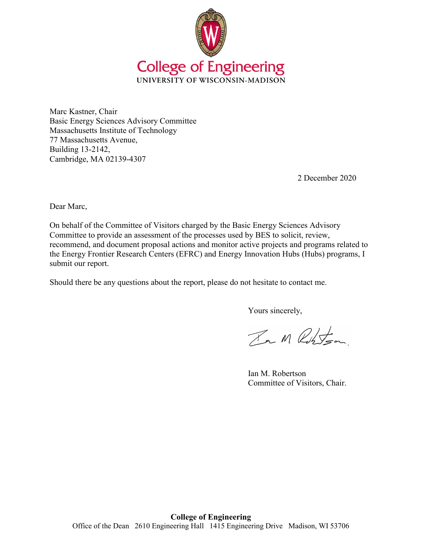

Marc Kastner, Chair Basic Energy Sciences Advisory Committee Massachusetts Institute of Technology 77 Massachusetts Avenue, Building 13-2142, Cambridge, MA 02139-4307

2 December 2020

Dear Marc,

On behalf of the Committee of Visitors charged by the Basic Energy Sciences Advisory Committee to provide an assessment of the processes used by BES to solicit, review, recommend, and document proposal actions and monitor active projects and programs related to the Energy Frontier Research Centers (EFRC) and Energy Innovation Hubs (Hubs) programs, I submit our report.

Should there be any questions about the report, please do not hesitate to contact me.

Yours sincerely,

Ba M Robiton

Ian M. Robertson Committee of Visitors, Chair.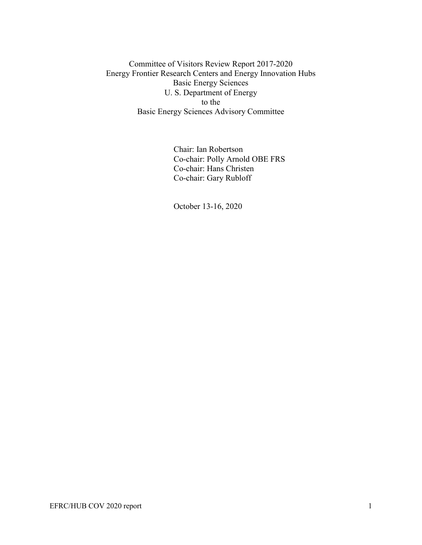Committee of Visitors Review Report 2017-2020 Energy Frontier Research Centers and Energy Innovation Hubs Basic Energy Sciences U. S. Department of Energy to the Basic Energy Sciences Advisory Committee

> Chair: Ian Robertson Co-chair: Polly Arnold OBE FRS Co-chair: Hans Christen Co-chair: Gary Rubloff

October 13-16, 2020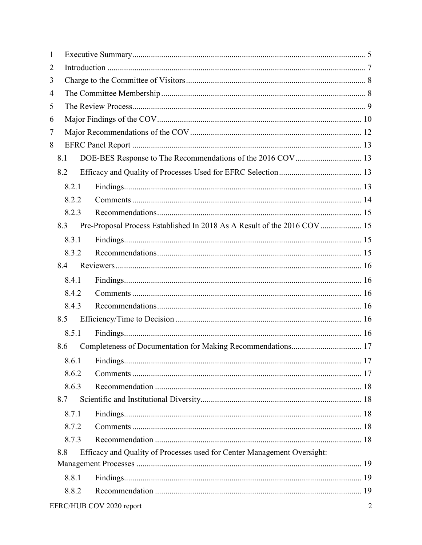| $\mathbf{1}$ |       |                                                                          |                |
|--------------|-------|--------------------------------------------------------------------------|----------------|
| 2            |       |                                                                          |                |
| 3            |       |                                                                          |                |
| 4            |       |                                                                          |                |
| 5            |       |                                                                          |                |
| 6            |       |                                                                          |                |
| 7            |       |                                                                          |                |
| 8            |       |                                                                          |                |
|              | 8.1   | DOE-BES Response to The Recommendations of the 2016 COV 13               |                |
|              | 8.2   |                                                                          |                |
|              | 8.2.1 |                                                                          |                |
|              | 8.2.2 |                                                                          |                |
|              | 8.2.3 |                                                                          |                |
|              | 8.3   | Pre-Proposal Process Established In 2018 As A Result of the 2016 COV  15 |                |
|              | 8.3.1 |                                                                          |                |
|              | 8.3.2 |                                                                          |                |
|              | 8.4   |                                                                          |                |
|              | 8.4.1 |                                                                          |                |
|              | 8.4.2 |                                                                          |                |
|              | 8.4.3 |                                                                          |                |
|              | 8.5   |                                                                          |                |
|              | 8.5.1 |                                                                          |                |
|              | 8.6   | Completeness of Documentation for Making Recommendations 17              |                |
|              | 8.6.1 |                                                                          |                |
|              | 8.6.2 |                                                                          |                |
|              | 8.6.3 |                                                                          |                |
|              | 8.7   |                                                                          |                |
|              | 8.7.1 |                                                                          |                |
|              | 8.7.2 |                                                                          |                |
|              | 8.7.3 |                                                                          |                |
|              | 8.8   | Efficacy and Quality of Processes used for Center Management Oversight:  |                |
|              |       |                                                                          |                |
|              | 8.8.1 |                                                                          |                |
|              | 8.8.2 |                                                                          |                |
|              |       | EFRC/HUB COV 2020 report                                                 | $\overline{2}$ |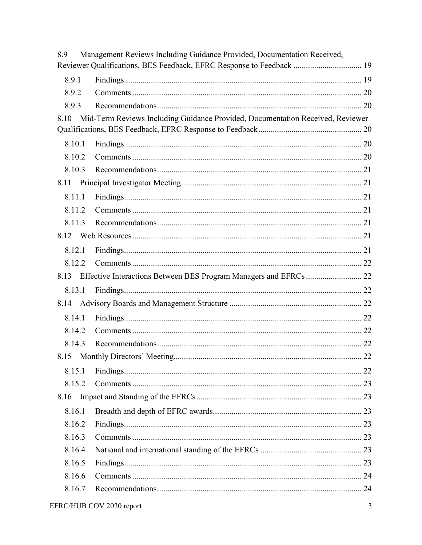| 8.9    | Management Reviews Including Guidance Provided, Documentation Received,        |    |
|--------|--------------------------------------------------------------------------------|----|
|        | Reviewer Qualifications, BES Feedback, EFRC Response to Feedback  19           |    |
| 8.9.1  |                                                                                |    |
| 8.9.2  |                                                                                |    |
| 8.9.3  |                                                                                |    |
| 8.10   | Mid-Term Reviews Including Guidance Provided, Documentation Received, Reviewer |    |
|        |                                                                                |    |
| 8.10.1 |                                                                                |    |
| 8.10.2 |                                                                                |    |
| 8.10.3 |                                                                                |    |
| 8.11   |                                                                                |    |
| 8.11.1 |                                                                                |    |
| 8.11.2 |                                                                                |    |
| 8.11.3 |                                                                                |    |
|        |                                                                                |    |
| 8.12.1 |                                                                                |    |
| 8.12.2 |                                                                                |    |
| 8.13   |                                                                                |    |
| 8.13.1 |                                                                                |    |
|        |                                                                                |    |
| 8.14.1 |                                                                                |    |
| 8.14.2 |                                                                                |    |
| 8.14.3 |                                                                                |    |
|        |                                                                                | 22 |
| 8.15.1 |                                                                                |    |
| 8.15.2 |                                                                                |    |
| 8.16   |                                                                                |    |
| 8.16.1 |                                                                                |    |
| 8.16.2 |                                                                                |    |
| 8.16.3 |                                                                                |    |
| 8.16.4 |                                                                                |    |
| 8.16.5 |                                                                                |    |
| 8.16.6 |                                                                                |    |
| 8.16.7 |                                                                                |    |
|        |                                                                                |    |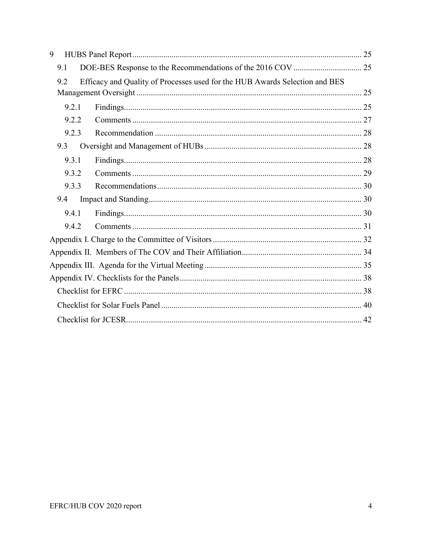| 9     |                                                                             |  |
|-------|-----------------------------------------------------------------------------|--|
| 9.1   |                                                                             |  |
| 9.2   | Efficacy and Quality of Processes used for the HUB Awards Selection and BES |  |
|       |                                                                             |  |
| 9.2.1 |                                                                             |  |
| 9.2.2 |                                                                             |  |
| 9.2.3 |                                                                             |  |
| 9.3   |                                                                             |  |
| 9.3.1 |                                                                             |  |
| 9.3.2 |                                                                             |  |
| 9.3.3 |                                                                             |  |
| 9.4   |                                                                             |  |
| 9.4.1 |                                                                             |  |
| 9.4.2 |                                                                             |  |
|       |                                                                             |  |
|       |                                                                             |  |
|       |                                                                             |  |
|       |                                                                             |  |
|       |                                                                             |  |
|       |                                                                             |  |
|       |                                                                             |  |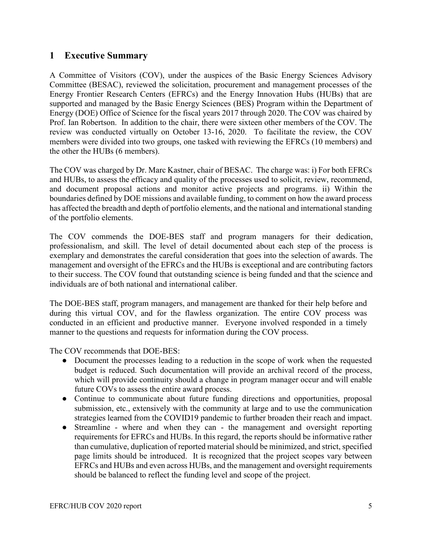## <span id="page-5-0"></span>**1 Executive Summary**

A Committee of Visitors (COV), under the auspices of the Basic Energy Sciences Advisory Committee (BESAC), reviewed the solicitation, procurement and management processes of the Energy Frontier Research Centers (EFRCs) and the Energy Innovation Hubs (HUBs) that are supported and managed by the Basic Energy Sciences (BES) Program within the Department of Energy (DOE) Office of Science for the fiscal years 2017 through 2020. The COV was chaired by Prof. Ian Robertson. In addition to the chair, there were sixteen other members of the COV. The review was conducted virtually on October 13-16, 2020. To facilitate the review, the COV members were divided into two groups, one tasked with reviewing the EFRCs (10 members) and the other the HUBs (6 members).

The COV was charged by Dr. Marc Kastner, chair of BESAC. The charge was: i) For both EFRCs and HUBs, to assess the efficacy and quality of the processes used to solicit, review, recommend, and document proposal actions and monitor active projects and programs. ii) Within the boundaries defined by DOE missions and available funding, to comment on how the award process has affected the breadth and depth of portfolio elements, and the national and international standing of the portfolio elements.

The COV commends the DOE-BES staff and program managers for their dedication, professionalism, and skill. The level of detail documented about each step of the process is exemplary and demonstrates the careful consideration that goes into the selection of awards. The management and oversight of the EFRCs and the HUBs is exceptional and are contributing factors to their success. The COV found that outstanding science is being funded and that the science and individuals are of both national and international caliber.

The DOE-BES staff, program managers, and management are thanked for their help before and during this virtual COV, and for the flawless organization. The entire COV process was conducted in an efficient and productive manner. Everyone involved responded in a timely manner to the questions and requests for information during the COV process.

The COV recommends that DOE-BES:

- Document the processes leading to a reduction in the scope of work when the requested budget is reduced. Such documentation will provide an archival record of the process, which will provide continuity should a change in program manager occur and will enable future COVs to assess the entire award process.
- Continue to communicate about future funding directions and opportunities, proposal submission, etc., extensively with the community at large and to use the communication strategies learned from the COVID19 pandemic to further broaden their reach and impact.
- Streamline where and when they can the management and oversight reporting requirements for EFRCs and HUBs. In this regard, the reports should be informative rather than cumulative, duplication of reported material should be minimized, and strict, specified page limits should be introduced. It is recognized that the project scopes vary between EFRCs and HUBs and even across HUBs, and the management and oversight requirements should be balanced to reflect the funding level and scope of the project.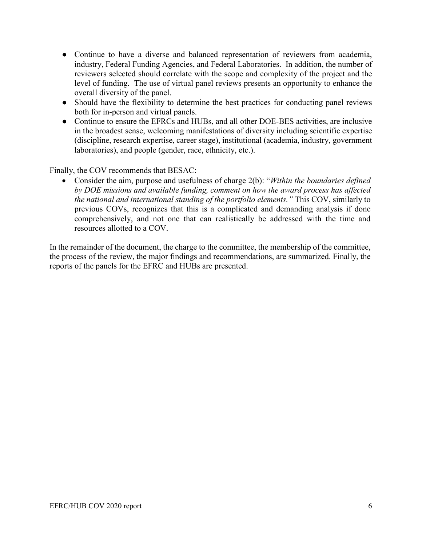- Continue to have a diverse and balanced representation of reviewers from academia, industry, Federal Funding Agencies, and Federal Laboratories. In addition, the number of reviewers selected should correlate with the scope and complexity of the project and the level of funding. The use of virtual panel reviews presents an opportunity to enhance the overall diversity of the panel.
- Should have the flexibility to determine the best practices for conducting panel reviews both for in-person and virtual panels.
- Continue to ensure the EFRCs and HUBs, and all other DOE-BES activities, are inclusive in the broadest sense, welcoming manifestations of diversity including scientific expertise (discipline, research expertise, career stage), institutional (academia, industry, government laboratories), and people (gender, race, ethnicity, etc.).

Finally, the COV recommends that BESAC:

• Consider the aim, purpose and usefulness of charge 2(b): "*Within the boundaries defined by DOE missions and available funding, comment on how the award process has affected the national and international standing of the portfolio elements."* This COV, similarly to previous COVs, recognizes that this is a complicated and demanding analysis if done comprehensively, and not one that can realistically be addressed with the time and resources allotted to a COV.

In the remainder of the document, the charge to the committee, the membership of the committee, the process of the review, the major findings and recommendations, are summarized. Finally, the reports of the panels for the EFRC and HUBs are presented.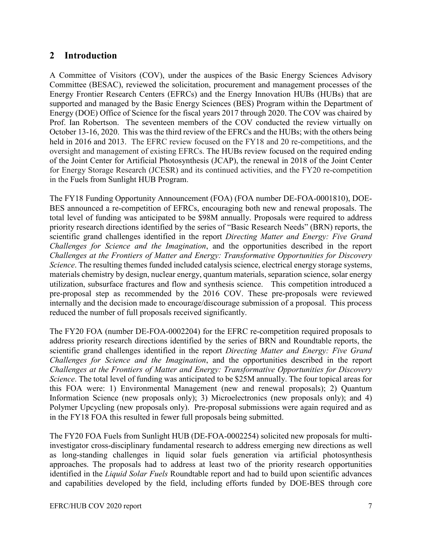## <span id="page-7-0"></span>**2 Introduction**

A Committee of Visitors (COV), under the auspices of the Basic Energy Sciences Advisory Committee (BESAC), reviewed the solicitation, procurement and management processes of the Energy Frontier Research Centers (EFRCs) and the Energy Innovation HUBs (HUBs) that are supported and managed by the Basic Energy Sciences (BES) Program within the Department of Energy (DOE) Office of Science for the fiscal years 2017 through 2020. The COV was chaired by Prof. Ian Robertson. The seventeen members of the COV conducted the review virtually on October 13-16, 2020. This was the third review of the EFRCs and the HUBs; with the others being held in 2016 and 2013. The EFRC review focused on the FY18 and 20 re-competitions, and the oversight and management of existing EFRCs. The HUBs review focused on the required ending of the Joint Center for Artificial Photosynthesis (JCAP), the renewal in 2018 of the Joint Center for Energy Storage Research (JCESR) and its continued activities, and the FY20 re-competition in the Fuels from Sunlight HUB Program.

The FY18 Funding Opportunity Announcement (FOA) (FOA number DE-FOA-0001810), DOE-BES announced a re-competition of EFRCs, encouraging both new and renewal proposals. The total level of funding was anticipated to be \$98M annually. Proposals were required to address priority research directions identified by the series of "Basic Research Needs" (BRN) reports, the scientific grand challenges identified in the report *Directing Matter and Energy: Five Grand Challenges for Science and the Imagination*, and the opportunities described in the report *Challenges at the Frontiers of Matter and Energy: Transformative Opportunities for Discovery Science*. The resulting themes funded included catalysis science, electrical energy storage systems, materials chemistry by design, nuclear energy, quantum materials, separation science, solar energy utilization, subsurface fractures and flow and synthesis science. This competition introduced a pre-proposal step as recommended by the 2016 COV. These pre-proposals were reviewed internally and the decision made to encourage/discourage submission of a proposal. This process reduced the number of full proposals received significantly.

The FY20 FOA (number DE-FOA-0002204) for the EFRC re-competition required proposals to address priority research directions identified by the series of BRN and Roundtable reports, the scientific grand challenges identified in the report *Directing Matter and Energy: Five Grand Challenges for Science and the Imagination*, and the opportunities described in the report *Challenges at the Frontiers of Matter and Energy: Transformative Opportunities for Discovery Science*. The total level of funding was anticipated to be \$25M annually. The four topical areas for this FOA were: 1) Environmental Management (new and renewal proposals); 2) Quantum Information Science (new proposals only); 3) Microelectronics (new proposals only); and 4) Polymer Upcycling (new proposals only). Pre-proposal submissions were again required and as in the FY18 FOA this resulted in fewer full proposals being submitted.

The FY20 FOA Fuels from Sunlight HUB (DE-FOA-0002254) solicited new proposals for multiinvestigator cross-disciplinary fundamental research to address emerging new directions as well as long-standing challenges in liquid solar fuels generation via artificial photosynthesis approaches. The proposals had to address at least two of the priority research opportunities identified in the *Liquid Solar Fuels* Roundtable report and had to build upon scientific advances and capabilities developed by the field, including efforts funded by DOE-BES through core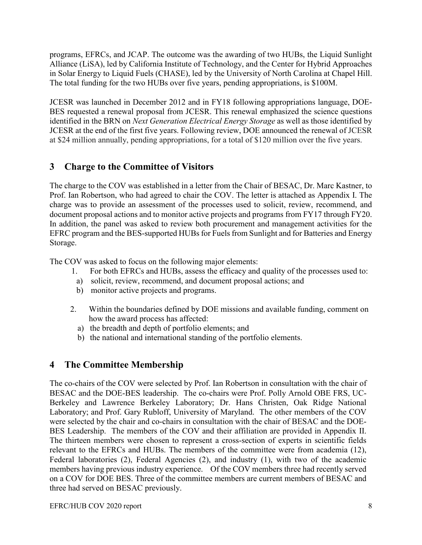programs, EFRCs, and JCAP. The outcome was the awarding of two HUBs, the Liquid Sunlight Alliance (LiSA), led by California Institute of Technology, and the Center for Hybrid Approaches in Solar Energy to Liquid Fuels (CHASE), led by the University of North Carolina at Chapel Hill. The total funding for the two HUBs over five years, pending appropriations, is \$100M.

JCESR was launched in December 2012 and in FY18 following appropriations language, DOE-BES requested a renewal proposal from JCESR. This renewal emphasized the science questions identified in the BRN on *Next Generation Electrical Energy Storage* as well as those identified by JCESR at the end of the first five years. Following review, DOE announced the renewal of JCESR at \$24 million annually, pending appropriations, for a total of \$120 million over the five years.

## <span id="page-8-0"></span>**3 Charge to the Committee of Visitors**

The charge to the COV was established in a letter from the Chair of BESAC, Dr. Marc Kastner, to Prof. Ian Robertson, who had agreed to chair the COV. The letter is attached as Appendix I. The charge was to provide an assessment of the processes used to solicit, review, recommend, and document proposal actions and to monitor active projects and programs from FY17 through FY20. In addition, the panel was asked to review both procurement and management activities for the EFRC program and the BES-supported HUBs for Fuels from Sunlight and for Batteries and Energy Storage.

The COV was asked to focus on the following major elements:

- 1. For both EFRCs and HUBs, assess the efficacy and quality of the processes used to:
- a) solicit, review, recommend, and document proposal actions; and
- b) monitor active projects and programs.
- 2. Within the boundaries defined by DOE missions and available funding, comment on how the award process has affected:
	- a) the breadth and depth of portfolio elements; and
	- b) the national and international standing of the portfolio elements.

## <span id="page-8-1"></span>**4 The Committee Membership**

The co-chairs of the COV were selected by Prof. Ian Robertson in consultation with the chair of BESAC and the DOE-BES leadership. The co-chairs were Prof. Polly Arnold OBE FRS, UC-Berkeley and Lawrence Berkeley Laboratory; Dr. Hans Christen, Oak Ridge National Laboratory; and Prof. Gary Rubloff, University of Maryland. The other members of the COV were selected by the chair and co-chairs in consultation with the chair of BESAC and the DOE-BES Leadership. The members of the COV and their affiliation are provided in Appendix II. The thirteen members were chosen to represent a cross-section of experts in scientific fields relevant to the EFRCs and HUBs. The members of the committee were from academia (12), Federal laboratories (2), Federal Agencies (2), and industry (1), with two of the academic members having previous industry experience. Of the COV members three had recently served on a COV for DOE BES. Three of the committee members are current members of BESAC and three had served on BESAC previously.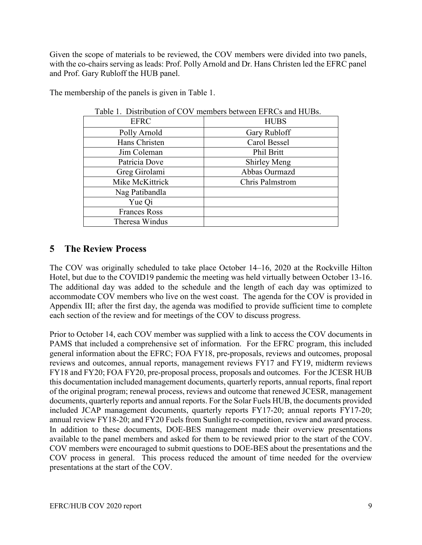Given the scope of materials to be reviewed, the COV members were divided into two panels, with the co-chairs serving as leads: Prof. Polly Arnold and Dr. Hans Christen led the EFRC panel and Prof. Gary Rubloff the HUB panel.

| Table 1. Distribution of COV members between EFRCs and HUBs. |                     |  |
|--------------------------------------------------------------|---------------------|--|
| <b>EFRC</b>                                                  | <b>HUBS</b>         |  |
| Polly Arnold                                                 | Gary Rubloff        |  |
| Hans Christen                                                | Carol Bessel        |  |
| Jim Coleman                                                  | Phil Britt          |  |
| Patricia Dove                                                | <b>Shirley Meng</b> |  |
| Greg Girolami                                                | Abbas Ourmazd       |  |
| Mike McKittrick                                              | Chris Palmstrom     |  |
| Nag Patibandla                                               |                     |  |
| Yue Qi                                                       |                     |  |
| <b>Frances Ross</b>                                          |                     |  |
| Theresa Windus                                               |                     |  |

The membership of the panels is given in Table 1.

Table 1. Distribution of COV members between EFRCs and HUBs.

## <span id="page-9-0"></span>**5 The Review Process**

The COV was originally scheduled to take place October 14–16, 2020 at the Rockville Hilton Hotel, but due to the COVID19 pandemic the meeting was held virtually between October 13-16. The additional day was added to the schedule and the length of each day was optimized to accommodate COV members who live on the west coast. The agenda for the COV is provided in Appendix III; after the first day, the agenda was modified to provide sufficient time to complete each section of the review and for meetings of the COV to discuss progress.

Prior to October 14, each COV member was supplied with a link to access the COV documents in PAMS that included a comprehensive set of information. For the EFRC program, this included general information about the EFRC; FOA FY18, pre-proposals, reviews and outcomes, proposal reviews and outcomes, annual reports, management reviews FY17 and FY19, midterm reviews FY18 and FY20; FOA FY20, pre-proposal process, proposals and outcomes. For the JCESR HUB this documentation included management documents, quarterly reports, annual reports, final report of the original program; renewal process, reviews and outcome that renewed JCESR, management documents, quarterly reports and annual reports. For the Solar Fuels HUB, the documents provided included JCAP management documents, quarterly reports FY17-20; annual reports FY17-20; annual review FY18-20; and FY20 Fuels from Sunlight re-competition, review and award process. In addition to these documents, DOE-BES management made their overview presentations available to the panel members and asked for them to be reviewed prior to the start of the COV. COV members were encouraged to submit questions to DOE-BES about the presentations and the COV process in general. This process reduced the amount of time needed for the overview presentations at the start of the COV.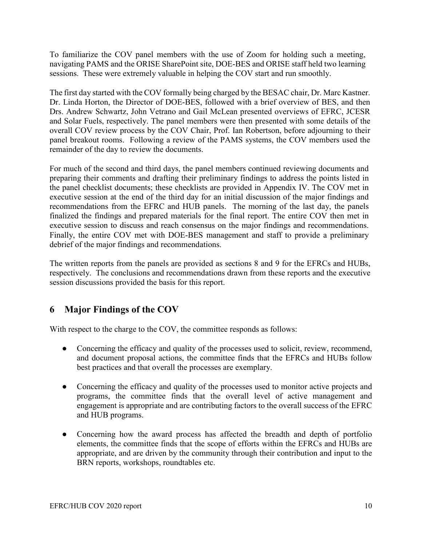To familiarize the COV panel members with the use of Zoom for holding such a meeting, navigating PAMS and the ORISE SharePoint site, DOE-BES and ORISE staff held two learning sessions. These were extremely valuable in helping the COV start and run smoothly.

The first day started with the COV formally being charged by the BESAC chair, Dr. Marc Kastner. Dr. Linda Horton, the Director of DOE-BES, followed with a brief overview of BES, and then Drs. Andrew Schwartz, John Vetrano and Gail McLean presented overviews of EFRC, JCESR and Solar Fuels, respectively. The panel members were then presented with some details of the overall COV review process by the COV Chair, Prof. Ian Robertson, before adjourning to their panel breakout rooms. Following a review of the PAMS systems, the COV members used the remainder of the day to review the documents.

For much of the second and third days, the panel members continued reviewing documents and preparing their comments and drafting their preliminary findings to address the points listed in the panel checklist documents; these checklists are provided in Appendix IV. The COV met in executive session at the end of the third day for an initial discussion of the major findings and recommendations from the EFRC and HUB panels. The morning of the last day, the panels finalized the findings and prepared materials for the final report. The entire COV then met in executive session to discuss and reach consensus on the major findings and recommendations. Finally, the entire COV met with DOE-BES management and staff to provide a preliminary debrief of the major findings and recommendations.

The written reports from the panels are provided as sections 8 and 9 for the EFRCs and HUBs, respectively. The conclusions and recommendations drawn from these reports and the executive session discussions provided the basis for this report.

# <span id="page-10-0"></span>**6 Major Findings of the COV**

With respect to the charge to the COV, the committee responds as follows:

- Concerning the efficacy and quality of the processes used to solicit, review, recommend, and document proposal actions, the committee finds that the EFRCs and HUBs follow best practices and that overall the processes are exemplary.
- Concerning the efficacy and quality of the processes used to monitor active projects and programs, the committee finds that the overall level of active management and engagement is appropriate and are contributing factors to the overall success of the EFRC and HUB programs.
- Concerning how the award process has affected the breadth and depth of portfolio elements, the committee finds that the scope of efforts within the EFRCs and HUBs are appropriate, and are driven by the community through their contribution and input to the BRN reports, workshops, roundtables etc.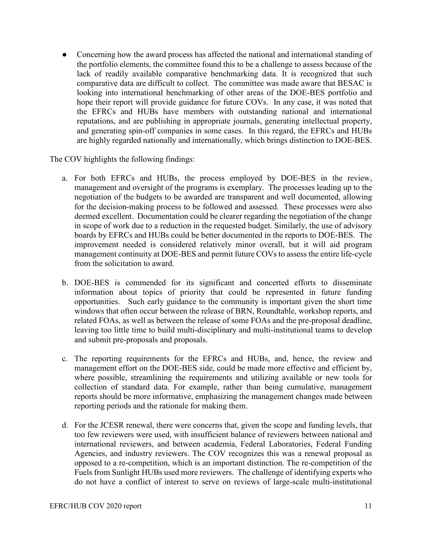Concerning how the award process has affected the national and international standing of the portfolio elements, the committee found this to be a challenge to assess because of the lack of readily available comparative benchmarking data. It is recognized that such comparative data are difficult to collect. The committee was made aware that BESAC is looking into international benchmarking of other areas of the DOE-BES portfolio and hope their report will provide guidance for future COVs. In any case, it was noted that the EFRCs and HUBs have members with outstanding national and international reputations, and are publishing in appropriate journals, generating intellectual property, and generating spin-off companies in some cases. In this regard, the EFRCs and HUBs are highly regarded nationally and internationally, which brings distinction to DOE-BES.

The COV highlights the following findings:

- a. For both EFRCs and HUBs, the process employed by DOE-BES in the review, management and oversight of the programs is exemplary. The processes leading up to the negotiation of the budgets to be awarded are transparent and well documented, allowing for the decision-making process to be followed and assessed. These processes were also deemed excellent. Documentation could be clearer regarding the negotiation of the change in scope of work due to a reduction in the requested budget. Similarly, the use of advisory boards by EFRCs and HUBs could be better documented in the reports to DOE-BES. The improvement needed is considered relatively minor overall, but it will aid program management continuity at DOE-BES and permit future COVs to assess the entire life-cycle from the solicitation to award.
- b. DOE-BES is commended for its significant and concerted efforts to disseminate information about topics of priority that could be represented in future funding opportunities. Such early guidance to the community is important given the short time windows that often occur between the release of BRN, Roundtable, workshop reports, and related FOAs, as well as between the release of some FOAs and the pre-proposal deadline, leaving too little time to build multi-disciplinary and multi-institutional teams to develop and submit pre-proposals and proposals.
- c. The reporting requirements for the EFRCs and HUBs, and, hence, the review and management effort on the DOE-BES side, could be made more effective and efficient by, where possible, streamlining the requirements and utilizing available or new tools for collection of standard data. For example, rather than being cumulative, management reports should be more informative, emphasizing the management changes made between reporting periods and the rationale for making them.
- d. For the JCESR renewal, there were concerns that, given the scope and funding levels, that too few reviewers were used, with insufficient balance of reviewers between national and international reviewers, and between academia, Federal Laboratories, Federal Funding Agencies, and industry reviewers. The COV recognizes this was a renewal proposal as opposed to a re-competition, which is an important distinction. The re-competition of the Fuels from Sunlight HUBs used more reviewers. The challenge of identifying experts who do not have a conflict of interest to serve on reviews of large-scale multi-institutional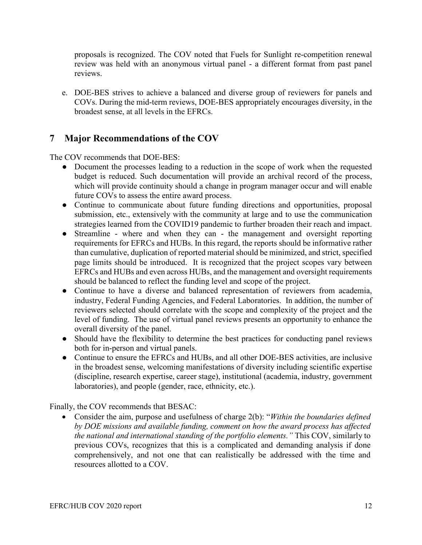proposals is recognized. The COV noted that Fuels for Sunlight re-competition renewal review was held with an anonymous virtual panel - a different format from past panel reviews.

e. DOE-BES strives to achieve a balanced and diverse group of reviewers for panels and COVs. During the mid-term reviews, DOE-BES appropriately encourages diversity, in the broadest sense, at all levels in the EFRCs.

## <span id="page-12-0"></span>**7 Major Recommendations of the COV**

The COV recommends that DOE-BES:

- Document the processes leading to a reduction in the scope of work when the requested budget is reduced. Such documentation will provide an archival record of the process, which will provide continuity should a change in program manager occur and will enable future COVs to assess the entire award process.
- Continue to communicate about future funding directions and opportunities, proposal submission, etc., extensively with the community at large and to use the communication strategies learned from the COVID19 pandemic to further broaden their reach and impact.
- Streamline where and when they can the management and oversight reporting requirements for EFRCs and HUBs. In this regard, the reports should be informative rather than cumulative, duplication of reported material should be minimized, and strict, specified page limits should be introduced. It is recognized that the project scopes vary between EFRCs and HUBs and even across HUBs, and the management and oversight requirements should be balanced to reflect the funding level and scope of the project.
- Continue to have a diverse and balanced representation of reviewers from academia, industry, Federal Funding Agencies, and Federal Laboratories. In addition, the number of reviewers selected should correlate with the scope and complexity of the project and the level of funding. The use of virtual panel reviews presents an opportunity to enhance the overall diversity of the panel.
- Should have the flexibility to determine the best practices for conducting panel reviews both for in-person and virtual panels.
- Continue to ensure the EFRCs and HUBs, and all other DOE-BES activities, are inclusive in the broadest sense, welcoming manifestations of diversity including scientific expertise (discipline, research expertise, career stage), institutional (academia, industry, government laboratories), and people (gender, race, ethnicity, etc.).

Finally, the COV recommends that BESAC:

• Consider the aim, purpose and usefulness of charge 2(b): "*Within the boundaries defined by DOE missions and available funding, comment on how the award process has affected the national and international standing of the portfolio elements."* This COV, similarly to previous COVs, recognizes that this is a complicated and demanding analysis if done comprehensively, and not one that can realistically be addressed with the time and resources allotted to a COV.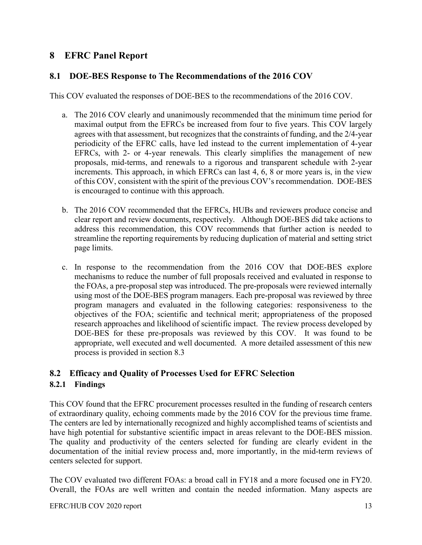## <span id="page-13-0"></span>**8 EFRC Panel Report**

#### <span id="page-13-1"></span>**8.1 DOE-BES Response to The Recommendations of the 2016 COV**

This COV evaluated the responses of DOE-BES to the recommendations of the 2016 COV.

- a. The 2016 COV clearly and unanimously recommended that the minimum time period for maximal output from the EFRCs be increased from four to five years. This COV largely agrees with that assessment, but recognizes that the constraints of funding, and the 2/4-year periodicity of the EFRC calls, have led instead to the current implementation of 4-year EFRCs, with 2- or 4-year renewals. This clearly simplifies the management of new proposals, mid-terms, and renewals to a rigorous and transparent schedule with 2-year increments. This approach, in which EFRCs can last 4, 6, 8 or more years is, in the view of this COV, consistent with the spirit of the previous COV's recommendation. DOE-BES is encouraged to continue with this approach.
- b. The 2016 COV recommended that the EFRCs, HUBs and reviewers produce concise and clear report and review documents, respectively. Although DOE-BES did take actions to address this recommendation, this COV recommends that further action is needed to streamline the reporting requirements by reducing duplication of material and setting strict page limits.
- c. In response to the recommendation from the 2016 COV that DOE-BES explore mechanisms to reduce the number of full proposals received and evaluated in response to the FOAs, a pre-proposal step was introduced. The pre-proposals were reviewed internally using most of the DOE-BES program managers. Each pre-proposal was reviewed by three program managers and evaluated in the following categories: responsiveness to the objectives of the FOA; scientific and technical merit; appropriateness of the proposed research approaches and likelihood of scientific impact. The review process developed by DOE-BES for these pre-proposals was reviewed by this COV. It was found to be appropriate, well executed and well documented. A more detailed assessment of this new process is provided in section 8.3

## <span id="page-13-2"></span>**8.2 Efficacy and Quality of Processes Used for EFRC Selection**

#### <span id="page-13-3"></span>**8.2.1 Findings**

This COV found that the EFRC procurement processes resulted in the funding of research centers of extraordinary quality, echoing comments made by the 2016 COV for the previous time frame. The centers are led by internationally recognized and highly accomplished teams of scientists and have high potential for substantive scientific impact in areas relevant to the DOE-BES mission. The quality and productivity of the centers selected for funding are clearly evident in the documentation of the initial review process and, more importantly, in the mid-term reviews of centers selected for support.

The COV evaluated two different FOAs: a broad call in FY18 and a more focused one in FY20. Overall, the FOAs are well written and contain the needed information. Many aspects are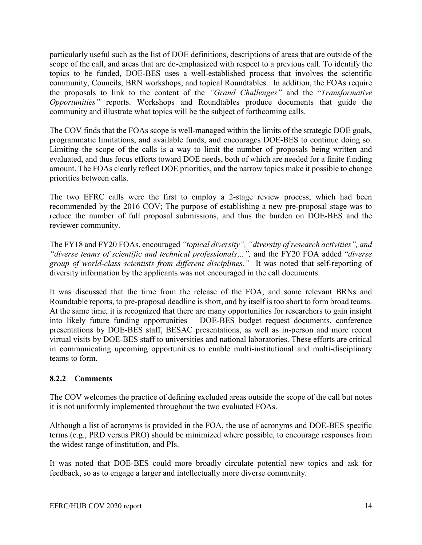particularly useful such as the list of DOE definitions, descriptions of areas that are outside of the scope of the call, and areas that are de-emphasized with respect to a previous call. To identify the topics to be funded, DOE-BES uses a well-established process that involves the scientific community, Councils, BRN workshops, and topical Roundtables. In addition, the FOAs require the proposals to link to the content of the *"Grand Challenges"* and the "*Transformative Opportunities"* reports. Workshops and Roundtables produce documents that guide the community and illustrate what topics will be the subject of forthcoming calls.

The COV finds that the FOAs scope is well-managed within the limits of the strategic DOE goals, programmatic limitations, and available funds, and encourages DOE-BES to continue doing so. Limiting the scope of the calls is a way to limit the number of proposals being written and evaluated, and thus focus efforts toward DOE needs, both of which are needed for a finite funding amount. The FOAs clearly reflect DOE priorities, and the narrow topics make it possible to change priorities between calls.

The two EFRC calls were the first to employ a 2-stage review process, which had been recommended by the 2016 COV; The purpose of establishing a new pre-proposal stage was to reduce the number of full proposal submissions, and thus the burden on DOE-BES and the reviewer community.

The FY18 and FY20 FOAs, encouraged *"topical diversity", "diversity of research activities", and "diverse teams of scientific and technical professionals…",* and the FY20 FOA added "*diverse group of world-class scientists from different disciplines."* It was noted that self-reporting of diversity information by the applicants was not encouraged in the call documents.

It was discussed that the time from the release of the FOA, and some relevant BRNs and Roundtable reports, to pre-proposal deadline is short, and by itself is too short to form broad teams. At the same time, it is recognized that there are many opportunities for researchers to gain insight into likely future funding opportunities – DOE-BES budget request documents, conference presentations by DOE-BES staff, BESAC presentations, as well as in-person and more recent virtual visits by DOE-BES staff to universities and national laboratories. These efforts are critical in communicating upcoming opportunities to enable multi-institutional and multi-disciplinary teams to form.

#### <span id="page-14-0"></span>**8.2.2 Comments**

The COV welcomes the practice of defining excluded areas outside the scope of the call but notes it is not uniformly implemented throughout the two evaluated FOAs.

Although a list of acronyms is provided in the FOA, the use of acronyms and DOE-BES specific terms (e.g., PRD versus PRO) should be minimized where possible, to encourage responses from the widest range of institution, and PIs.

It was noted that DOE-BES could more broadly circulate potential new topics and ask for feedback, so as to engage a larger and intellectually more diverse community.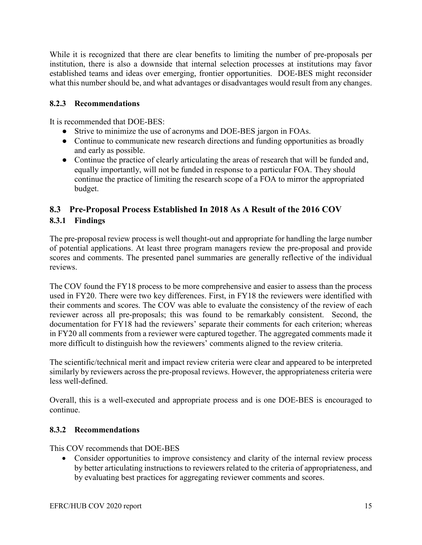While it is recognized that there are clear benefits to limiting the number of pre-proposals per institution, there is also a downside that internal selection processes at institutions may favor established teams and ideas over emerging, frontier opportunities. DOE-BES might reconsider what this number should be, and what advantages or disadvantages would result from any changes.

### <span id="page-15-0"></span>**8.2.3 Recommendations**

It is recommended that DOE-BES:

- Strive to minimize the use of acronyms and DOE-BES jargon in FOAs.
- Continue to communicate new research directions and funding opportunities as broadly and early as possible.
- Continue the practice of clearly articulating the areas of research that will be funded and, equally importantly, will not be funded in response to a particular FOA. They should continue the practice of limiting the research scope of a FOA to mirror the appropriated budget.

## <span id="page-15-1"></span>**8.3 Pre-Proposal Process Established In 2018 As A Result of the 2016 COV**

## <span id="page-15-2"></span>**8.3.1 Findings**

The pre-proposal review process is well thought-out and appropriate for handling the large number of potential applications. At least three program managers review the pre-proposal and provide scores and comments. The presented panel summaries are generally reflective of the individual reviews.

The COV found the FY18 process to be more comprehensive and easier to assess than the process used in FY20. There were two key differences. First, in FY18 the reviewers were identified with their comments and scores. The COV was able to evaluate the consistency of the review of each reviewer across all pre-proposals; this was found to be remarkably consistent. Second, the documentation for FY18 had the reviewers' separate their comments for each criterion; whereas in FY20 all comments from a reviewer were captured together. The aggregated comments made it more difficult to distinguish how the reviewers' comments aligned to the review criteria.

The scientific/technical merit and impact review criteria were clear and appeared to be interpreted similarly by reviewers across the pre-proposal reviews. However, the appropriateness criteria were less well-defined.

Overall, this is a well-executed and appropriate process and is one DOE-BES is encouraged to continue.

## <span id="page-15-3"></span>**8.3.2 Recommendations**

This COV recommends that DOE-BES

• Consider opportunities to improve consistency and clarity of the internal review process by better articulating instructions to reviewers related to the criteria of appropriateness, and by evaluating best practices for aggregating reviewer comments and scores.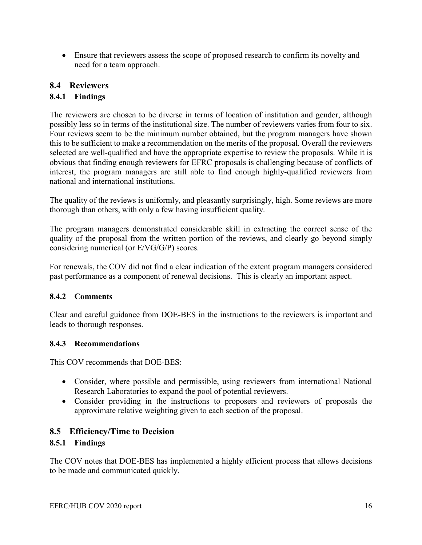• Ensure that reviewers assess the scope of proposed research to confirm its novelty and need for a team approach.

## <span id="page-16-0"></span>**8.4 Reviewers**

## <span id="page-16-1"></span>**8.4.1 Findings**

The reviewers are chosen to be diverse in terms of location of institution and gender, although possibly less so in terms of the institutional size. The number of reviewers varies from four to six. Four reviews seem to be the minimum number obtained, but the program managers have shown this to be sufficient to make a recommendation on the merits of the proposal. Overall the reviewers selected are well-qualified and have the appropriate expertise to review the proposals. While it is obvious that finding enough reviewers for EFRC proposals is challenging because of conflicts of interest, the program managers are still able to find enough highly-qualified reviewers from national and international institutions.

The quality of the reviews is uniformly, and pleasantly surprisingly, high. Some reviews are more thorough than others, with only a few having insufficient quality.

The program managers demonstrated considerable skill in extracting the correct sense of the quality of the proposal from the written portion of the reviews, and clearly go beyond simply considering numerical (or E/VG/G/P) scores.

For renewals, the COV did not find a clear indication of the extent program managers considered past performance as a component of renewal decisions. This is clearly an important aspect.

## <span id="page-16-2"></span>**8.4.2 Comments**

Clear and careful guidance from DOE-BES in the instructions to the reviewers is important and leads to thorough responses.

## <span id="page-16-3"></span>**8.4.3 Recommendations**

This COV recommends that DOE-BES:

- Consider, where possible and permissible, using reviewers from international National Research Laboratories to expand the pool of potential reviewers.
- Consider providing in the instructions to proposers and reviewers of proposals the approximate relative weighting given to each section of the proposal.

## <span id="page-16-4"></span>**8.5 Efficiency/Time to Decision**

#### <span id="page-16-5"></span>**8.5.1 Findings**

The COV notes that DOE-BES has implemented a highly efficient process that allows decisions to be made and communicated quickly.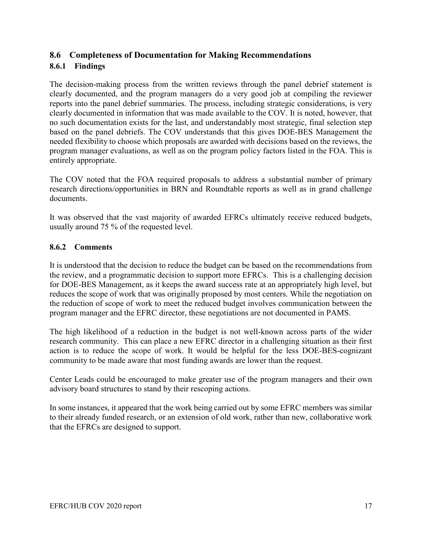## <span id="page-17-1"></span><span id="page-17-0"></span>**8.6 Completeness of Documentation for Making Recommendations 8.6.1 Findings**

The decision-making process from the written reviews through the panel debrief statement is clearly documented, and the program managers do a very good job at compiling the reviewer reports into the panel debrief summaries. The process, including strategic considerations, is very clearly documented in information that was made available to the COV. It is noted, however, that no such documentation exists for the last, and understandably most strategic, final selection step based on the panel debriefs. The COV understands that this gives DOE-BES Management the needed flexibility to choose which proposals are awarded with decisions based on the reviews, the program manager evaluations, as well as on the program policy factors listed in the FOA. This is entirely appropriate.

The COV noted that the FOA required proposals to address a substantial number of primary research directions/opportunities in BRN and Roundtable reports as well as in grand challenge documents.

It was observed that the vast majority of awarded EFRCs ultimately receive reduced budgets, usually around 75 % of the requested level.

#### <span id="page-17-2"></span>**8.6.2 Comments**

It is understood that the decision to reduce the budget can be based on the recommendations from the review, and a programmatic decision to support more EFRCs. This is a challenging decision for DOE-BES Management, as it keeps the award success rate at an appropriately high level, but reduces the scope of work that was originally proposed by most centers. While the negotiation on the reduction of scope of work to meet the reduced budget involves communication between the program manager and the EFRC director, these negotiations are not documented in PAMS.

The high likelihood of a reduction in the budget is not well-known across parts of the wider research community. This can place a new EFRC director in a challenging situation as their first action is to reduce the scope of work. It would be helpful for the less DOE-BES-cognizant community to be made aware that most funding awards are lower than the request.

Center Leads could be encouraged to make greater use of the program managers and their own advisory board structures to stand by their rescoping actions.

In some instances, it appeared that the work being carried out by some EFRC members was similar to their already funded research, or an extension of old work, rather than new, collaborative work that the EFRCs are designed to support.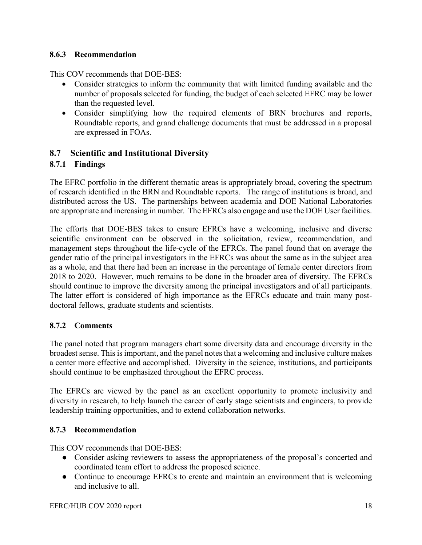### <span id="page-18-0"></span>**8.6.3 Recommendation**

This COV recommends that DOE-BES:

- Consider strategies to inform the community that with limited funding available and the number of proposals selected for funding, the budget of each selected EFRC may be lower than the requested level.
- Consider simplifying how the required elements of BRN brochures and reports, Roundtable reports, and grand challenge documents that must be addressed in a proposal are expressed in FOAs.

## <span id="page-18-1"></span>**8.7 Scientific and Institutional Diversity**

### <span id="page-18-2"></span>**8.7.1 Findings**

The EFRC portfolio in the different thematic areas is appropriately broad, covering the spectrum of research identified in the BRN and Roundtable reports. The range of institutions is broad, and distributed across the US. The partnerships between academia and DOE National Laboratories are appropriate and increasing in number. The EFRCs also engage and use the DOE User facilities.

The efforts that DOE-BES takes to ensure EFRCs have a welcoming, inclusive and diverse scientific environment can be observed in the solicitation, review, recommendation, and management steps throughout the life-cycle of the EFRCs. The panel found that on average the gender ratio of the principal investigators in the EFRCs was about the same as in the subject area as a whole, and that there had been an increase in the percentage of female center directors from 2018 to 2020. However, much remains to be done in the broader area of diversity. The EFRCs should continue to improve the diversity among the principal investigators and of all participants. The latter effort is considered of high importance as the EFRCs educate and train many postdoctoral fellows, graduate students and scientists.

#### <span id="page-18-3"></span>**8.7.2 Comments**

The panel noted that program managers chart some diversity data and encourage diversity in the broadest sense. This is important, and the panel notes that a welcoming and inclusive culture makes a center more effective and accomplished. Diversity in the science, institutions, and participants should continue to be emphasized throughout the EFRC process.

The EFRCs are viewed by the panel as an excellent opportunity to promote inclusivity and diversity in research, to help launch the career of early stage scientists and engineers, to provide leadership training opportunities, and to extend collaboration networks.

#### <span id="page-18-4"></span>**8.7.3 Recommendation**

This COV recommends that DOE-BES:

- Consider asking reviewers to assess the appropriateness of the proposal's concerted and coordinated team effort to address the proposed science.
- Continue to encourage EFRCs to create and maintain an environment that is welcoming and inclusive to all.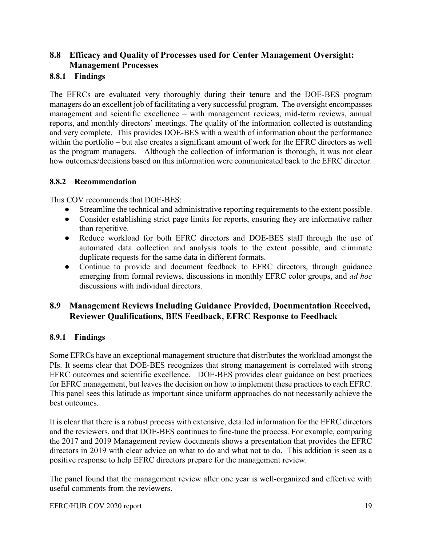## <span id="page-19-0"></span>**8.8 Efficacy and Quality of Processes used for Center Management Oversight: Management Processes**

### <span id="page-19-1"></span>**8.8.1 Findings**

The EFRCs are evaluated very thoroughly during their tenure and the DOE-BES program managers do an excellent job of facilitating a very successful program. The oversight encompasses management and scientific excellence – with management reviews, mid-term reviews, annual reports, and monthly directors' meetings. The quality of the information collected is outstanding and very complete. This provides DOE-BES with a wealth of information about the performance within the portfolio – but also creates a significant amount of work for the EFRC directors as well as the program managers. Although the collection of information is thorough, it was not clear how outcomes/decisions based on this information were communicated back to the EFRC director.

#### <span id="page-19-2"></span>**8.8.2 Recommendation**

This COV recommends that DOE-BES:

- Streamline the technical and administrative reporting requirements to the extent possible.
- Consider establishing strict page limits for reports, ensuring they are informative rather than repetitive.
- Reduce workload for both EFRC directors and DOE-BES staff through the use of automated data collection and analysis tools to the extent possible, and eliminate duplicate requests for the same data in different formats.
- Continue to provide and document feedback to EFRC directors, through guidance emerging from formal reviews, discussions in monthly EFRC color groups, and *ad hoc* discussions with individual directors.

## <span id="page-19-3"></span>**8.9 Management Reviews Including Guidance Provided, Documentation Received, Reviewer Qualifications, BES Feedback, EFRC Response to Feedback**

## <span id="page-19-4"></span>**8.9.1 Findings**

Some EFRCs have an exceptional management structure that distributes the workload amongst the PIs. It seems clear that DOE-BES recognizes that strong management is correlated with strong EFRC outcomes and scientific excellence. DOE-BES provides clear guidance on best practices for EFRC management, but leaves the decision on how to implement these practices to each EFRC. This panel sees this latitude as important since uniform approaches do not necessarily achieve the best outcomes.

It is clear that there is a robust process with extensive, detailed information for the EFRC directors and the reviewers, and that DOE-BES continues to fine-tune the process. For example, comparing the 2017 and 2019 Management review documents shows a presentation that provides the EFRC directors in 2019 with clear advice on what to do and what not to do. This addition is seen as a positive response to help EFRC directors prepare for the management review.

The panel found that the management review after one year is well-organized and effective with useful comments from the reviewers.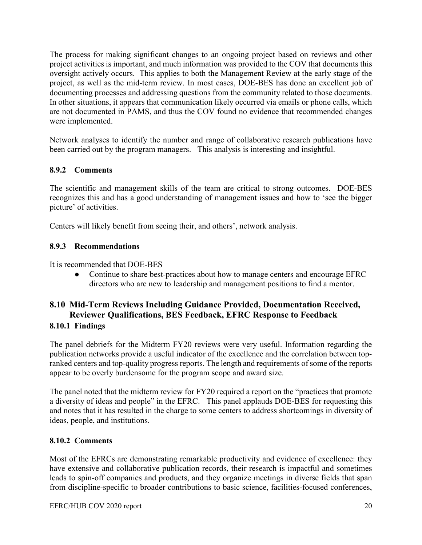The process for making significant changes to an ongoing project based on reviews and other project activities is important, and much information was provided to the COV that documents this oversight actively occurs. This applies to both the Management Review at the early stage of the project, as well as the mid-term review. In most cases, DOE-BES has done an excellent job of documenting processes and addressing questions from the community related to those documents. In other situations, it appears that communication likely occurred via emails or phone calls, which are not documented in PAMS, and thus the COV found no evidence that recommended changes were implemented.

Network analyses to identify the number and range of collaborative research publications have been carried out by the program managers. This analysis is interesting and insightful.

### <span id="page-20-0"></span>**8.9.2 Comments**

The scientific and management skills of the team are critical to strong outcomes. DOE-BES recognizes this and has a good understanding of management issues and how to 'see the bigger picture' of activities.

Centers will likely benefit from seeing their, and others', network analysis.

#### <span id="page-20-1"></span>**8.9.3 Recommendations**

It is recommended that DOE-BES

Continue to share best-practices about how to manage centers and encourage EFRC directors who are new to leadership and management positions to find a mentor.

### <span id="page-20-2"></span>**8.10 Mid-Term Reviews Including Guidance Provided, Documentation Received, Reviewer Qualifications, BES Feedback, EFRC Response to Feedback 8.10.1 Findings**

<span id="page-20-3"></span>The panel debriefs for the Midterm FY20 reviews were very useful. Information regarding the publication networks provide a useful indicator of the excellence and the correlation between topranked centers and top-quality progress reports. The length and requirements of some of the reports appear to be overly burdensome for the program scope and award size.

The panel noted that the midterm review for FY20 required a report on the "practices that promote a diversity of ideas and people" in the EFRC. This panel applauds DOE-BES for requesting this and notes that it has resulted in the charge to some centers to address shortcomings in diversity of ideas, people, and institutions.

#### <span id="page-20-4"></span>**8.10.2 Comments**

Most of the EFRCs are demonstrating remarkable productivity and evidence of excellence: they have extensive and collaborative publication records, their research is impactful and sometimes leads to spin-off companies and products, and they organize meetings in diverse fields that span from discipline-specific to broader contributions to basic science, facilities-focused conferences,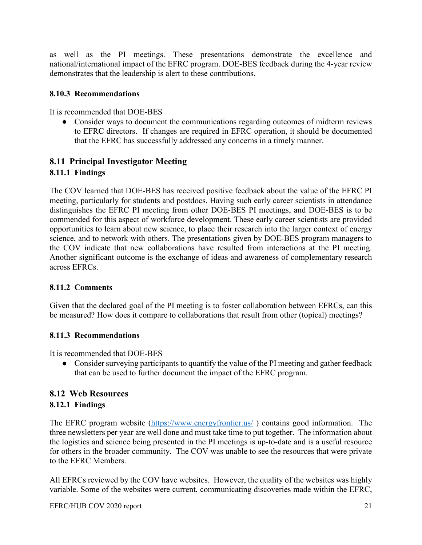as well as the PI meetings. These presentations demonstrate the excellence and national/international impact of the EFRC program. DOE-BES feedback during the 4-year review demonstrates that the leadership is alert to these contributions.

#### <span id="page-21-0"></span>**8.10.3 Recommendations**

It is recommended that DOE-BES

● Consider ways to document the communications regarding outcomes of midterm reviews to EFRC directors. If changes are required in EFRC operation, it should be documented that the EFRC has successfully addressed any concerns in a timely manner.

## <span id="page-21-1"></span>**8.11 Principal Investigator Meeting**

## <span id="page-21-2"></span>**8.11.1 Findings**

The COV learned that DOE-BES has received positive feedback about the value of the EFRC PI meeting, particularly for students and postdocs. Having such early career scientists in attendance distinguishes the EFRC PI meeting from other DOE-BES PI meetings, and DOE-BES is to be commended for this aspect of workforce development. These early career scientists are provided opportunities to learn about new science, to place their research into the larger context of energy science, and to network with others. The presentations given by DOE-BES program managers to the COV indicate that new collaborations have resulted from interactions at the PI meeting. Another significant outcome is the exchange of ideas and awareness of complementary research across EFRCs.

#### <span id="page-21-3"></span>**8.11.2 Comments**

Given that the declared goal of the PI meeting is to foster collaboration between EFRCs, can this be measured? How does it compare to collaborations that result from other (topical) meetings?

#### <span id="page-21-4"></span>**8.11.3 Recommendations**

It is recommended that DOE-BES

● Consider surveying participants to quantify the value of the PI meeting and gather feedback that can be used to further document the impact of the EFRC program.

## <span id="page-21-5"></span>**8.12 Web Resources**

#### <span id="page-21-6"></span>**8.12.1 Findings**

The EFRC program website [\(https://www.energyfrontier.us/](https://www.energyfrontier.us/) ) contains good information. The three newsletters per year are well done and must take time to put together. The information about the logistics and science being presented in the PI meetings is up-to-date and is a useful resource for others in the broader community. The COV was unable to see the resources that were private to the EFRC Members.

All EFRCs reviewed by the COV have websites. However, the quality of the websites was highly variable. Some of the websites were current, communicating discoveries made within the EFRC,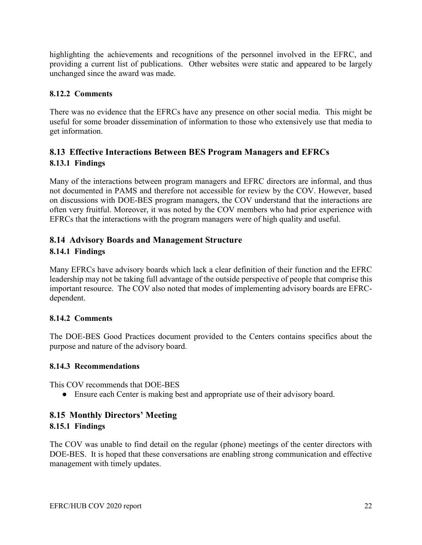highlighting the achievements and recognitions of the personnel involved in the EFRC, and providing a current list of publications. Other websites were static and appeared to be largely unchanged since the award was made.

#### <span id="page-22-0"></span>**8.12.2 Comments**

There was no evidence that the EFRCs have any presence on other social media. This might be useful for some broader dissemination of information to those who extensively use that media to get information.

## <span id="page-22-2"></span><span id="page-22-1"></span>**8.13 Effective Interactions Between BES Program Managers and EFRCs 8.13.1 Findings**

Many of the interactions between program managers and EFRC directors are informal, and thus not documented in PAMS and therefore not accessible for review by the COV. However, based on discussions with DOE-BES program managers, the COV understand that the interactions are often very fruitful. Moreover, it was noted by the COV members who had prior experience with EFRCs that the interactions with the program managers were of high quality and useful.

### <span id="page-22-4"></span><span id="page-22-3"></span>**8.14 Advisory Boards and Management Structure 8.14.1 Findings**

Many EFRCs have advisory boards which lack a clear definition of their function and the EFRC leadership may not be taking full advantage of the outside perspective of people that comprise this important resource. The COV also noted that modes of implementing advisory boards are EFRCdependent.

#### <span id="page-22-5"></span>**8.14.2 Comments**

The DOE-BES Good Practices document provided to the Centers contains specifics about the purpose and nature of the advisory board.

#### <span id="page-22-6"></span>**8.14.3 Recommendations**

This COV recommends that DOE-BES

● Ensure each Center is making best and appropriate use of their advisory board.

## <span id="page-22-7"></span>**8.15 Monthly Directors' Meeting**

#### <span id="page-22-8"></span>**8.15.1 Findings**

The COV was unable to find detail on the regular (phone) meetings of the center directors with DOE-BES. It is hoped that these conversations are enabling strong communication and effective management with timely updates.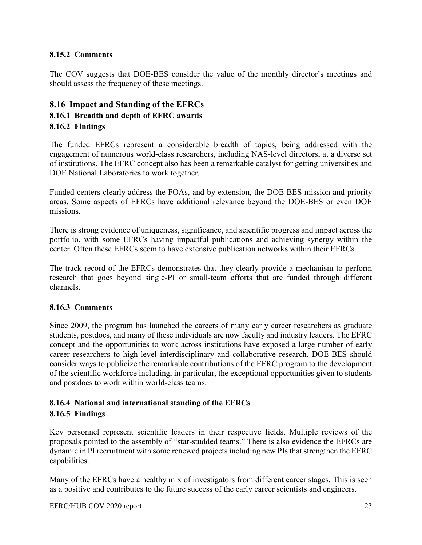#### <span id="page-23-0"></span>**8.15.2 Comments**

The COV suggests that DOE-BES consider the value of the monthly director's meetings and should assess the frequency of these meetings.

## <span id="page-23-3"></span><span id="page-23-2"></span><span id="page-23-1"></span>**8.16 Impact and Standing of the EFRCs 8.16.1 Breadth and depth of EFRC awards 8.16.2 Findings**

The funded EFRCs represent a considerable breadth of topics, being addressed with the engagement of numerous world-class researchers, including NAS-level directors, at a diverse set of institutions. The EFRC concept also has been a remarkable catalyst for getting universities and DOE National Laboratories to work together.

Funded centers clearly address the FOAs, and by extension, the DOE-BES mission and priority areas. Some aspects of EFRCs have additional relevance beyond the DOE-BES or even DOE missions.

There is strong evidence of uniqueness, significance, and scientific progress and impact across the portfolio, with some EFRCs having impactful publications and achieving synergy within the center. Often these EFRCs seem to have extensive publication networks within their EFRCs.

The track record of the EFRCs demonstrates that they clearly provide a mechanism to perform research that goes beyond single-PI or small-team efforts that are funded through different channels.

#### <span id="page-23-4"></span>**8.16.3 Comments**

Since 2009, the program has launched the careers of many early career researchers as graduate students, postdocs, and many of these individuals are now faculty and industry leaders. The EFRC concept and the opportunities to work across institutions have exposed a large number of early career researchers to high-level interdisciplinary and collaborative research. DOE-BES should consider ways to publicize the remarkable contributions of the EFRC program to the development of the scientific workforce including, in particular, the exceptional opportunities given to students and postdocs to work within world-class teams.

#### <span id="page-23-6"></span><span id="page-23-5"></span>**8.16.4 National and international standing of the EFRCs 8.16.5 Findings**

Key personnel represent scientific leaders in their respective fields. Multiple reviews of the proposals pointed to the assembly of "star-studded teams." There is also evidence the EFRCs are dynamic in PI recruitment with some renewed projects including new PIs that strengthen the EFRC capabilities.

Many of the EFRCs have a healthy mix of investigators from different career stages. This is seen as a positive and contributes to the future success of the early career scientists and engineers.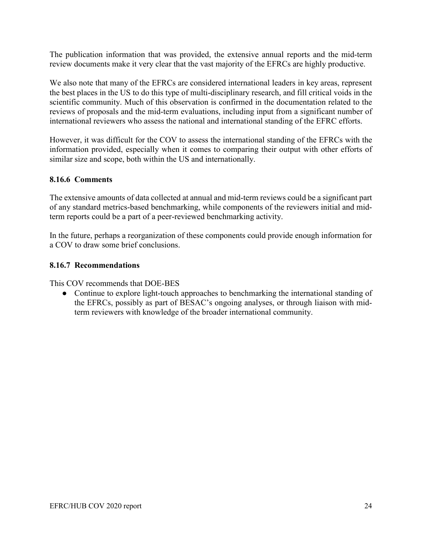The publication information that was provided, the extensive annual reports and the mid-term review documents make it very clear that the vast majority of the EFRCs are highly productive.

We also note that many of the EFRCs are considered international leaders in key areas, represent the best places in the US to do this type of multi-disciplinary research, and fill critical voids in the scientific community. Much of this observation is confirmed in the documentation related to the reviews of proposals and the mid-term evaluations, including input from a significant number of international reviewers who assess the national and international standing of the EFRC efforts.

However, it was difficult for the COV to assess the international standing of the EFRCs with the information provided, especially when it comes to comparing their output with other efforts of similar size and scope, both within the US and internationally.

#### <span id="page-24-0"></span>**8.16.6 Comments**

The extensive amounts of data collected at annual and mid-term reviews could be a significant part of any standard metrics-based benchmarking, while components of the reviewers initial and midterm reports could be a part of a peer-reviewed benchmarking activity.

In the future, perhaps a reorganization of these components could provide enough information for a COV to draw some brief conclusions.

#### <span id="page-24-1"></span>**8.16.7 Recommendations**

This COV recommends that DOE-BES

● Continue to explore light-touch approaches to benchmarking the international standing of the EFRCs, possibly as part of BESAC's ongoing analyses, or through liaison with midterm reviewers with knowledge of the broader international community.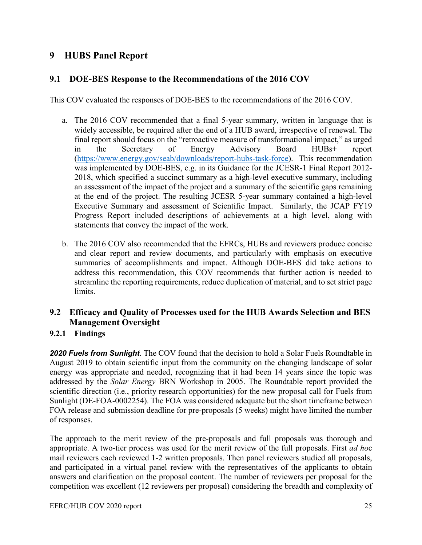## <span id="page-25-0"></span>**9 HUBS Panel Report**

### <span id="page-25-1"></span>**9.1 DOE-BES Response to the Recommendations of the 2016 COV**

This COV evaluated the responses of DOE-BES to the recommendations of the 2016 COV.

- a. The 2016 COV recommended that a final 5-year summary, written in language that is widely accessible, be required after the end of a HUB award, irrespective of renewal. The final report should focus on the "retroactive measure of transformational impact," as urged in the Secretary of Energy Advisory Board HUBs+ report [\(https://www.energy.gov/seab/downloads/report-hubs-task-force\)](https://www.energy.gov/seab/downloads/report-hubs-task-force). This recommendation was implemented by DOE-BES, e.g. in its Guidance for the JCESR-1 Final Report 2012- 2018, which specified a succinct summary as a high-level executive summary, including an assessment of the impact of the project and a summary of the scientific gaps remaining at the end of the project. The resulting JCESR 5-year summary contained a high-level Executive Summary and assessment of Scientific Impact. Similarly, the JCAP FY19 Progress Report included descriptions of achievements at a high level, along with statements that convey the impact of the work.
- b. The 2016 COV also recommended that the EFRCs, HUBs and reviewers produce concise and clear report and review documents, and particularly with emphasis on executive summaries of accomplishments and impact. Although DOE-BES did take actions to address this recommendation, this COV recommends that further action is needed to streamline the reporting requirements, reduce duplication of material, and to set strict page limits.

## <span id="page-25-2"></span>**9.2 Efficacy and Quality of Processes used for the HUB Awards Selection and BES Management Oversight**

#### <span id="page-25-3"></span>**9.2.1 Findings**

*2020 Fuels from Sunlight*. The COV found that the decision to hold a Solar Fuels Roundtable in August 2019 to obtain scientific input from the community on the changing landscape of solar energy was appropriate and needed, recognizing that it had been 14 years since the topic was addressed by the *Solar Energy* BRN Workshop in 2005. The Roundtable report provided the scientific direction (i.e., priority research opportunities) for the new proposal call for Fuels from Sunlight (DE-FOA-0002254). The FOA was considered adequate but the short timeframe between FOA release and submission deadline for pre-proposals (5 weeks) might have limited the number of responses.

The approach to the merit review of the pre-proposals and full proposals was thorough and appropriate. A two-tier process was used for the merit review of the full proposals. First *ad ho*c mail reviewers each reviewed 1-2 written proposals. Then panel reviewers studied all proposals, and participated in a virtual panel review with the representatives of the applicants to obtain answers and clarification on the proposal content. The number of reviewers per proposal for the competition was excellent (12 reviewers per proposal) considering the breadth and complexity of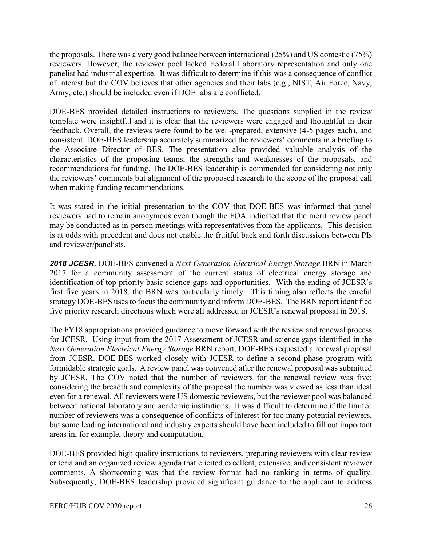the proposals. There was a very good balance between international (25%) and US domestic (75%) reviewers. However, the reviewer pool lacked Federal Laboratory representation and only one panelist had industrial expertise. It was difficult to determine if this was a consequence of conflict of interest but the COV believes that other agencies and their labs (e.g., NIST, Air Force, Navy, Army, etc.) should be included even if DOE labs are conflicted.

DOE-BES provided detailed instructions to reviewers. The questions supplied in the review template were insightful and it is clear that the reviewers were engaged and thoughtful in their feedback. Overall, the reviews were found to be well-prepared, extensive (4-5 pages each), and consistent. DOE-BES leadership accurately summarized the reviewers' comments in a briefing to the Associate Director of BES. The presentation also provided valuable analysis of the characteristics of the proposing teams, the strengths and weaknesses of the proposals, and recommendations for funding. The DOE-BES leadership is commended for considering not only the reviewers' comments but alignment of the proposed research to the scope of the proposal call when making funding recommendations.

It was stated in the initial presentation to the COV that DOE-BES was informed that panel reviewers had to remain anonymous even though the FOA indicated that the merit review panel may be conducted as in-person meetings with representatives from the applicants. This decision is at odds with precedent and does not enable the fruitful back and forth discussions between PIs and reviewer/panelists.

*2018 JCESR.* DOE-BES convened a *Next Generation Electrical Energy Storage* BRN in March 2017 for a community assessment of the current status of electrical energy storage and identification of top priority basic science gaps and opportunities. With the ending of JCESR's first five years in 2018, the BRN was particularly timely. This timing also reflects the careful strategy DOE-BES usesto focus the community and inform DOE-BES. The BRN report identified five priority research directions which were all addressed in JCESR's renewal proposal in 2018.

The FY18 appropriations provided guidance to move forward with the review and renewal process for JCESR. Using input from the 2017 Assessment of JCESR and science gaps identified in the *Next Generation Electrical Energy Storage* BRN report, DOE-BES requested a renewal proposal from JCESR. DOE-BES worked closely with JCESR to define a second phase program with formidable strategic goals. A review panel was convened after the renewal proposal was submitted by JCESR. The COV noted that the number of reviewers for the renewal review was five: considering the breadth and complexity of the proposal the number was viewed as less than ideal even for a renewal. All reviewers were US domestic reviewers, but the reviewer pool was balanced between national laboratory and academic institutions. It was difficult to determine if the limited number of reviewers was a consequence of conflicts of interest for too many potential reviewers, but some leading international and industry experts should have been included to fill out important areas in, for example, theory and computation.

DOE-BES provided high quality instructions to reviewers, preparing reviewers with clear review criteria and an organized review agenda that elicited excellent, extensive, and consistent reviewer comments. A shortcoming was that the review format had no ranking in terms of quality. Subsequently, DOE-BES leadership provided significant guidance to the applicant to address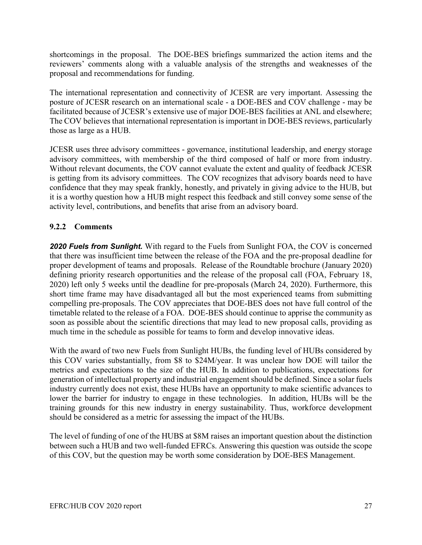shortcomings in the proposal. The DOE-BES briefings summarized the action items and the reviewers' comments along with a valuable analysis of the strengths and weaknesses of the proposal and recommendations for funding.

The international representation and connectivity of JCESR are very important. Assessing the posture of JCESR research on an international scale - a DOE-BES and COV challenge - may be facilitated because of JCESR's extensive use of major DOE-BES facilities at ANL and elsewhere; The COV believes that international representation is important in DOE-BES reviews, particularly those as large as a HUB.

JCESR uses three advisory committees - governance, institutional leadership, and energy storage advisory committees, with membership of the third composed of half or more from industry. Without relevant documents, the COV cannot evaluate the extent and quality of feedback JCESR is getting from its advisory committees. The COV recognizes that advisory boards need to have confidence that they may speak frankly, honestly, and privately in giving advice to the HUB, but it is a worthy question how a HUB might respect this feedback and still convey some sense of the activity level, contributions, and benefits that arise from an advisory board.

## <span id="page-27-0"></span>**9.2.2 Comments**

*2020 Fuels from Sunlight.* With regard to the Fuels from Sunlight FOA, the COV is concerned that there was insufficient time between the release of the FOA and the pre-proposal deadline for proper development of teams and proposals. Release of the Roundtable brochure (January 2020) defining priority research opportunities and the release of the proposal call (FOA, February 18, 2020) left only 5 weeks until the deadline for pre-proposals (March 24, 2020). Furthermore, this short time frame may have disadvantaged all but the most experienced teams from submitting compelling pre-proposals. The COV appreciates that DOE-BES does not have full control of the timetable related to the release of a FOA. DOE-BES should continue to apprise the community as soon as possible about the scientific directions that may lead to new proposal calls, providing as much time in the schedule as possible for teams to form and develop innovative ideas.

With the award of two new Fuels from Sunlight HUBs, the funding level of HUBs considered by this COV varies substantially, from \$8 to \$24M/year. It was unclear how DOE will tailor the metrics and expectations to the size of the HUB. In addition to publications, expectations for generation of intellectual property and industrial engagement should be defined. Since a solar fuels industry currently does not exist, these HUBs have an opportunity to make scientific advances to lower the barrier for industry to engage in these technologies. In addition, HUBs will be the training grounds for this new industry in energy sustainability. Thus, workforce development should be considered as a metric for assessing the impact of the HUBs.

The level of funding of one of the HUBS at \$8M raises an important question about the distinction between such a HUB and two well-funded EFRCs. Answering this question was outside the scope of this COV, but the question may be worth some consideration by DOE-BES Management.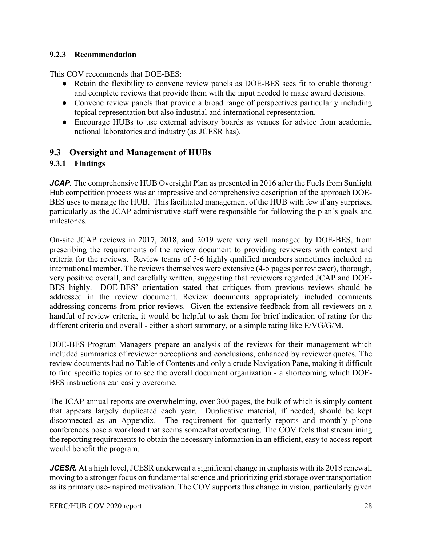#### <span id="page-28-0"></span>**9.2.3 Recommendation**

This COV recommends that DOE-BES:

- Retain the flexibility to convene review panels as DOE-BES sees fit to enable thorough and complete reviews that provide them with the input needed to make award decisions.
- Convene review panels that provide a broad range of perspectives particularly including topical representation but also industrial and international representation.
- Encourage HUBs to use external advisory boards as venues for advice from academia, national laboratories and industry (as JCESR has).

## <span id="page-28-1"></span>**9.3 Oversight and Management of HUBs**

## <span id="page-28-2"></span>**9.3.1 Findings**

*JCAP.* The comprehensive HUB Oversight Plan as presented in 2016 after the Fuels from Sunlight Hub competition process was an impressive and comprehensive description of the approach DOE-BES uses to manage the HUB. This facilitated management of the HUB with few if any surprises, particularly as the JCAP administrative staff were responsible for following the plan's goals and milestones.

On-site JCAP reviews in 2017, 2018, and 2019 were very well managed by DOE-BES, from prescribing the requirements of the review document to providing reviewers with context and criteria for the reviews. Review teams of 5-6 highly qualified members sometimes included an international member. The reviews themselves were extensive (4-5 pages per reviewer), thorough, very positive overall, and carefully written, suggesting that reviewers regarded JCAP and DOE-BES highly. DOE-BES' orientation stated that critiques from previous reviews should be addressed in the review document. Review documents appropriately included comments addressing concerns from prior reviews. Given the extensive feedback from all reviewers on a handful of review criteria, it would be helpful to ask them for brief indication of rating for the different criteria and overall - either a short summary, or a simple rating like E/VG/G/M.

DOE-BES Program Managers prepare an analysis of the reviews for their management which included summaries of reviewer perceptions and conclusions, enhanced by reviewer quotes. The review documents had no Table of Contents and only a crude Navigation Pane, making it difficult to find specific topics or to see the overall document organization - a shortcoming which DOE-BES instructions can easily overcome.

The JCAP annual reports are overwhelming, over 300 pages, the bulk of which is simply content that appears largely duplicated each year. Duplicative material, if needed, should be kept disconnected as an Appendix. The requirement for quarterly reports and monthly phone conferences pose a workload that seems somewhat overbearing. The COV feels that streamlining the reporting requirements to obtain the necessary information in an efficient, easy to access report would benefit the program.

*JCESR.* At a high level, JCESR underwent a significant change in emphasis with its 2018 renewal, moving to a stronger focus on fundamental science and prioritizing grid storage over transportation as its primary use-inspired motivation. The COV supports this change in vision, particularly given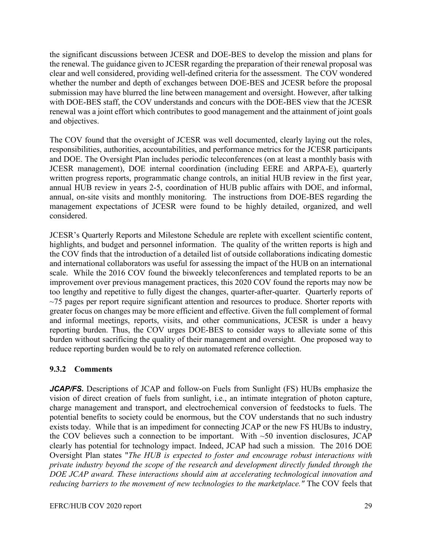the significant discussions between JCESR and DOE-BES to develop the mission and plans for the renewal. The guidance given to JCESR regarding the preparation of their renewal proposal was clear and well considered, providing well-defined criteria for the assessment. The COV wondered whether the number and depth of exchanges between DOE-BES and JCESR before the proposal submission may have blurred the line between management and oversight. However, after talking with DOE-BES staff, the COV understands and concurs with the DOE-BES view that the JCESR renewal was a joint effort which contributes to good management and the attainment of joint goals and objectives.

The COV found that the oversight of JCESR was well documented, clearly laying out the roles, responsibilities, authorities, accountabilities, and performance metrics for the JCESR participants and DOE. The Oversight Plan includes periodic teleconferences (on at least a monthly basis with JCESR management), DOE internal coordination (including EERE and ARPA-E), quarterly written progress reports, programmatic change controls, an initial HUB review in the first year, annual HUB review in years 2-5, coordination of HUB public affairs with DOE, and informal, annual, on-site visits and monthly monitoring. The instructions from DOE-BES regarding the management expectations of JCESR were found to be highly detailed, organized, and well considered.

JCESR's Quarterly Reports and Milestone Schedule are replete with excellent scientific content, highlights, and budget and personnel information. The quality of the written reports is high and the COV finds that the introduction of a detailed list of outside collaborations indicating domestic and international collaborators was useful for assessing the impact of the HUB on an international scale. While the 2016 COV found the biweekly teleconferences and templated reports to be an improvement over previous management practices, this 2020 COV found the reports may now be too lengthy and repetitive to fully digest the changes, quarter-after-quarter. Quarterly reports of  $\sim$ 75 pages per report require significant attention and resources to produce. Shorter reports with greater focus on changes may be more efficient and effective. Given the full complement of formal and informal meetings, reports, visits, and other communications, JCESR is under a heavy reporting burden. Thus, the COV urges DOE-BES to consider ways to alleviate some of this burden without sacrificing the quality of their management and oversight. One proposed way to reduce reporting burden would be to rely on automated reference collection.

#### <span id="page-29-0"></span>**9.3.2 Comments**

*JCAP/FS.* Descriptions of JCAP and follow-on Fuels from Sunlight (FS) HUBs emphasize the vision of direct creation of fuels from sunlight, i.e., an intimate integration of photon capture, charge management and transport, and electrochemical conversion of feedstocks to fuels. The potential benefits to society could be enormous, but the COV understands that no such industry exists today. While that is an impediment for connecting JCAP or the new FS HUBs to industry, the COV believes such a connection to be important. With  $\sim$ 50 invention disclosures, JCAP clearly has potential for technology impact. Indeed, JCAP had such a mission. The 2016 DOE Oversight Plan states "*The HUB is expected to foster and encourage robust interactions with private industry beyond the scope of the research and development directly funded through the DOE JCAP award. These interactions should aim at accelerating technological innovation and reducing barriers to the movement of new technologies to the marketplace."* The COV feels that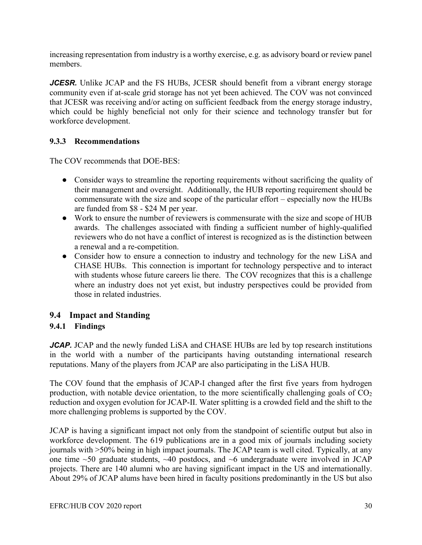increasing representation from industry is a worthy exercise, e.g. as advisory board or review panel members.

*JCESR.* Unlike JCAP and the FS HUBs, JCESR should benefit from a vibrant energy storage community even if at-scale grid storage has not yet been achieved. The COV was not convinced that JCESR was receiving and/or acting on sufficient feedback from the energy storage industry, which could be highly beneficial not only for their science and technology transfer but for workforce development.

#### <span id="page-30-0"></span>**9.3.3 Recommendations**

The COV recommends that DOE-BES:

- Consider ways to streamline the reporting requirements without sacrificing the quality of their management and oversight. Additionally, the HUB reporting requirement should be commensurate with the size and scope of the particular effort – especially now the HUBs are funded from \$8 - \$24 M per year.
- Work to ensure the number of reviewers is commensurate with the size and scope of HUB awards. The challenges associated with finding a sufficient number of highly-qualified reviewers who do not have a conflict of interest is recognized as is the distinction between a renewal and a re-competition.
- Consider how to ensure a connection to industry and technology for the new LiSA and CHASE HUBs. This connection is important for technology perspective and to interact with students whose future careers lie there. The COV recognizes that this is a challenge where an industry does not yet exist, but industry perspectives could be provided from those in related industries.

## <span id="page-30-1"></span>**9.4 Impact and Standing**

## <span id="page-30-2"></span>**9.4.1 Findings**

*JCAP.* JCAP and the newly funded LiSA and CHASE HUBs are led by top research institutions in the world with a number of the participants having outstanding international research reputations. Many of the players from JCAP are also participating in the LiSA HUB.

The COV found that the emphasis of JCAP-I changed after the first five years from hydrogen production, with notable device orientation, to the more scientifically challenging goals of  $CO<sub>2</sub>$ reduction and oxygen evolution for JCAP-II. Water splitting is a crowded field and the shift to the more challenging problems is supported by the COV.

JCAP is having a significant impact not only from the standpoint of scientific output but also in workforce development. The 619 publications are in a good mix of journals including society journals with >50% being in high impact journals. The JCAP team is well cited. Typically, at any one time  $\sim$ 50 graduate students,  $\sim$ 40 postdocs, and  $\sim$ 6 undergraduate were involved in JCAP projects. There are 140 alumni who are having significant impact in the US and internationally. About 29% of JCAP alums have been hired in faculty positions predominantly in the US but also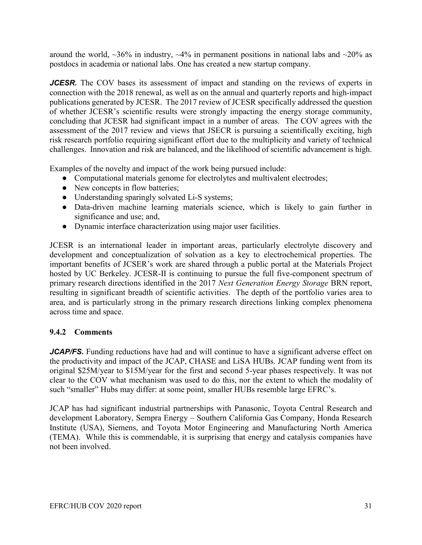around the world,  $\sim$ 36% in industry,  $\sim$ 4% in permanent positions in national labs and  $\sim$ 20% as postdocs in academia or national labs. One has created a new startup company.

*JCESR.* The COV bases its assessment of impact and standing on the reviews of experts in connection with the 2018 renewal, as well as on the annual and quarterly reports and high-impact publications generated by JCESR. The 2017 review of JCESR specifically addressed the question of whether JCESR's scientific results were strongly impacting the energy storage community, concluding that JCESR had significant impact in a number of areas. The COV agrees with the assessment of the 2017 review and views that JSECR is pursuing a scientifically exciting, high risk research portfolio requiring significant effort due to the multiplicity and variety of technical challenges. Innovation and risk are balanced, and the likelihood of scientific advancement is high.

Examples of the novelty and impact of the work being pursued include:

- Computational materials genome for electrolytes and multivalent electrodes;
- New concepts in flow batteries;
- Understanding sparingly solvated Li-S systems;
- Data-driven machine learning materials science, which is likely to gain further in significance and use; and,
- Dynamic interface characterization using major user facilities.

JCESR is an international leader in important areas, particularly electrolyte discovery and development and conceptualization of solvation as a key to electrochemical properties. The important benefits of JCSER's work are shared through a public portal at the Materials Project hosted by UC Berkeley. JCESR-II is continuing to pursue the full five-component spectrum of primary research directions identified in the 2017 *Next Generation Energy Storage* BRN report, resulting in significant breadth of scientific activities. The depth of the portfolio varies area to area, and is particularly strong in the primary research directions linking complex phenomena across time and space.

#### <span id="page-31-0"></span>**9.4.2 Comments**

*JCAP/FS.* Funding reductions have had and will continue to have a significant adverse effect on the productivity and impact of the JCAP, CHASE and LiSA HUBs. JCAP funding went from its original \$25M/year to \$15M/year for the first and second 5-year phases respectively. It was not clear to the COV what mechanism was used to do this, nor the extent to which the modality of such "smaller" Hubs may differ: at some point, smaller HUBs resemble large EFRC's.

JCAP has had significant industrial partnerships with Panasonic, Toyota Central Research and development Laboratory, Sempra Energy – Southern California Gas Company, Honda Research Institute (USA), Siemens, and Toyota Motor Engineering and Manufacturing North America (TEMA). While this is commendable, it is surprising that energy and catalysis companies have not been involved.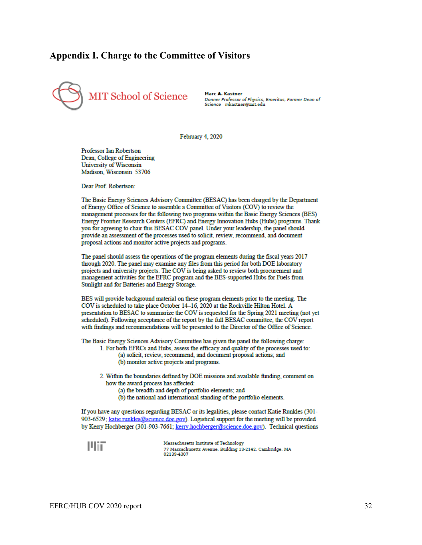#### <span id="page-32-0"></span>**Appendix I. Charge to the Committee of Visitors**



Marc A. Kastner<br>Donner Professor of Physics, Emeritus, Former Dean of Science mkastner@mit.edu

February 4, 2020

Professor Ian Robertson Dean, College of Engineering **University of Wisconsin** Madison, Wisconsin 53706

Dear Prof. Robertson:

The Basic Energy Sciences Advisory Committee (BESAC) has been charged by the Department of Energy Office of Science to assemble a Committee of Visitors (COV) to review the management processes for the following two programs within the Basic Energy Sciences (BES) Energy Frontier Research Centers (EFRC) and Energy Innovation Hubs (Hubs) programs. Thank you for agreeing to chair this BESAC COV panel. Under your leadership, the panel should provide an assessment of the processes used to solicit, review, recommend, and document proposal actions and monitor active projects and programs.

The panel should assess the operations of the program elements during the fiscal years 2017 through 2020. The panel may examine any files from this period for both DOE laboratory projects and university projects. The COV is being asked to review both procurement and management activities for the EFRC program and the BES-supported Hubs for Fuels from Sunlight and for Batteries and Energy Storage.

BES will provide background material on these program elements prior to the meeting. The COV is scheduled to take place October 14-16, 2020 at the Rockville Hilton Hotel. A presentation to BESAC to summarize the COV is requested for the Spring 2021 meeting (not yet scheduled). Following acceptance of the report by the full BESAC committee, the COV report with findings and recommendations will be presented to the Director of the Office of Science.

The Basic Energy Sciences Advisory Committee has given the panel the following charge:

- 1. For both EFRCs and Hubs, assess the efficacy and quality of the processes used to:
	- (a) solicit, review, recommend, and document proposal actions; and (b) monitor active projects and programs.
- 2. Within the boundaries defined by DOE missions and available funding, comment on how the award process has affected:
	- (a) the breadth and depth of portfolio elements; and
	- (b) the national and international standing of the portfolio elements.

If you have any questions regarding BESAC or its legalities, please contact Katie Runkles (301-903-6529; katie.runkles@science.doe.gov). Logistical support for the meeting will be provided by Kerry Hochberger (301-903-7661; kerry hochberger@science.doe.gov). Technical questions

Plit

Massachusetts Institute of Technology 77 Massachusetts Avenue, Building 13-2142, Cambridge, MA 02139-4307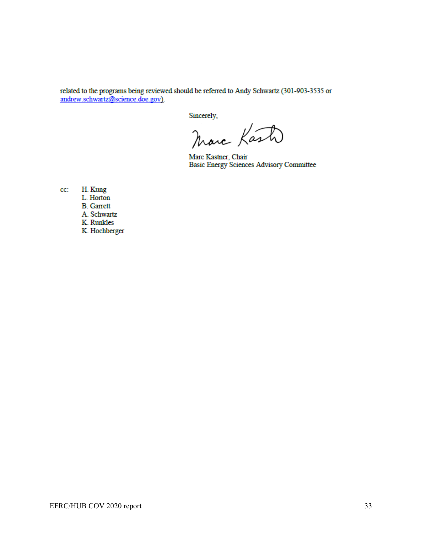related to the programs being reviewed should be referred to Andy Schwartz (301-903-3535 or andrew.schwartz@science.doe.gov).

Sincerely,

Marc Kasto

Marc Kastner, Chair **Basic Energy Sciences Advisory Committee** 

H. Kung  $cc$ : L. Horton **B.** Garrett A. Schwartz K. Runkles K. Hochberger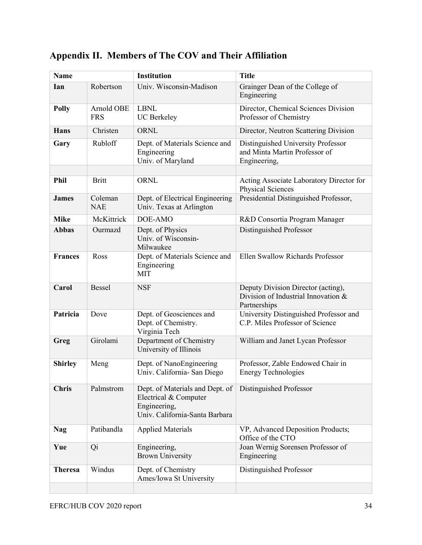| <b>Name</b>    |                          | <b>Institution</b>                                                                                         | <b>Title</b>                                                                              |
|----------------|--------------------------|------------------------------------------------------------------------------------------------------------|-------------------------------------------------------------------------------------------|
| Ian            | Robertson                | Univ. Wisconsin-Madison                                                                                    | Grainger Dean of the College of<br>Engineering                                            |
| <b>Polly</b>   | Arnold OBE<br><b>FRS</b> | <b>LBNL</b><br><b>UC</b> Berkeley                                                                          | Director, Chemical Sciences Division<br>Professor of Chemistry                            |
| <b>Hans</b>    | Christen                 | <b>ORNL</b>                                                                                                | Director, Neutron Scattering Division                                                     |
| Gary           | Rubloff                  | Dept. of Materials Science and<br>Engineering<br>Univ. of Maryland                                         | Distinguished University Professor<br>and Minta Martin Professor of<br>Engineering,       |
|                |                          |                                                                                                            |                                                                                           |
| <b>Phil</b>    | <b>Britt</b>             | <b>ORNL</b>                                                                                                | Acting Associate Laboratory Director for<br>Physical Sciences                             |
| <b>James</b>   | Coleman<br><b>NAE</b>    | Dept. of Electrical Engineering<br>Univ. Texas at Arlington                                                | Presidential Distinguished Professor,                                                     |
| <b>Mike</b>    | McKittrick               | DOE-AMO                                                                                                    | R&D Consortia Program Manager                                                             |
| <b>Abbas</b>   | Ourmazd                  | Dept. of Physics<br>Univ. of Wisconsin-<br>Milwaukee                                                       | Distinguished Professor                                                                   |
| <b>Frances</b> | Ross                     | Dept. of Materials Science and<br>Engineering<br><b>MIT</b>                                                | Ellen Swallow Richards Professor                                                          |
| Carol          | <b>Bessel</b>            | <b>NSF</b>                                                                                                 | Deputy Division Director (acting),<br>Division of Industrial Innovation &<br>Partnerships |
| Patricia       | Dove                     | Dept. of Geosciences and<br>Dept. of Chemistry.<br>Virginia Tech                                           | University Distinguished Professor and<br>C.P. Miles Professor of Science                 |
| Greg           | Girolami                 | Department of Chemistry<br>University of Illinois                                                          | William and Janet Lycan Professor                                                         |
| <b>Shirley</b> | Meng                     | Dept. of NanoEngineering<br>Univ. California- San Diego                                                    | Professor, Zable Endowed Chair in<br><b>Energy Technologies</b>                           |
| <b>Chris</b>   | Palmstrom                | Dept. of Materials and Dept. of<br>Electrical & Computer<br>Engineering,<br>Univ. California-Santa Barbara | Distinguished Professor                                                                   |
| Nag            | Patibandla               | <b>Applied Materials</b>                                                                                   | VP, Advanced Deposition Products;<br>Office of the CTO                                    |
| Yue            | Qi                       | Engineering,<br><b>Brown University</b>                                                                    | Joan Wernig Sorensen Professor of<br>Engineering                                          |
| <b>Theresa</b> | Windus                   | Dept. of Chemistry<br>Ames/Iowa St University                                                              | Distinguished Professor                                                                   |
|                |                          |                                                                                                            |                                                                                           |

# <span id="page-34-0"></span>**Appendix II. Members of The COV and Their Affiliation**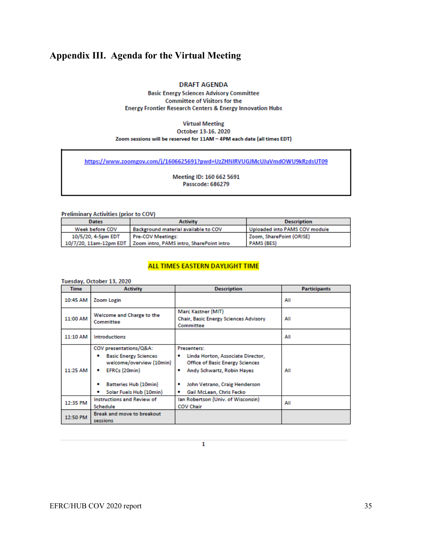## <span id="page-35-0"></span>**Appendix III. Agenda for the Virtual Meeting**

#### **DRAFT AGENDA**

**Basic Energy Sciences Advisory Committee Committee of Visitors for the Energy Frontier Research Centers & Energy Innovation Hubs** 

#### **Virtual Meeting**

#### October 13-16, 2020 Zoom sessions will be reserved for 11AM - 4PM each date (all times EDT)

https://www.zoomgov.com/j/1606625691?pwd=UzZHNIRVUGJMcUJuVmdOWU9kRzdsUT09

Meeting ID: 160 662 5691 Passcode: 686279

**Preliminary Activities (prior to COV)** 

| <b>Dates</b>       | <b>Activity</b>                                                   | <b>Description</b>            |
|--------------------|-------------------------------------------------------------------|-------------------------------|
| Week before COV    | Background material available to COV                              | Uploaded into PAMS COV module |
| 10/5/20, 4-5pm EDT | Pre-COV Meetings:                                                 | Zoom, SharePoint (ORISE)      |
|                    | 10/7/20, 11am-12pm EDT   Zoom intro, PAMS intro, SharePoint intro | <b>PAMS (BES)</b>             |

#### **ALL TIMES EASTERN DAYLIGHT TIME**

| Tuesday, October 13, 2020 |                                                                                                                                                                          |                                                                                                                                                                                              |                     |  |  |
|---------------------------|--------------------------------------------------------------------------------------------------------------------------------------------------------------------------|----------------------------------------------------------------------------------------------------------------------------------------------------------------------------------------------|---------------------|--|--|
| <b>Time</b>               | <b>Activity</b>                                                                                                                                                          | <b>Description</b>                                                                                                                                                                           | <b>Participants</b> |  |  |
| 10:45 AM                  | Zoom Login                                                                                                                                                               |                                                                                                                                                                                              | All                 |  |  |
| 11:00 AM                  | Welcome and Charge to the<br>Committee                                                                                                                                   | Marc Kastner (MIT)<br>Chair, Basic Energy Sciences Advisory<br>Committee                                                                                                                     | All                 |  |  |
| 11:10 AM                  | Introductions                                                                                                                                                            |                                                                                                                                                                                              | All                 |  |  |
| 11:25 AM                  | COV presentations/Q&A:<br><b>Basic Energy Sciences</b><br>٠<br>welcome/overview (10min)<br>EFRCs (20min)<br><b>Batteries Hub (10min)</b><br>٠<br>Solar Fuels Hub (10min) | <b>Presenters:</b><br>Linda Horton, Associate Director,<br><b>Office of Basic Energy Sciences</b><br>Andy Schwartz, Robin Hayes<br>John Vetrano, Craig Henderson<br>Gail McLean, Chris Fecko | All                 |  |  |
| 12:35 PM                  | <b>Instructions and Review of</b><br>Schedule                                                                                                                            | lan Robertson (Univ. of Wisconsin)<br><b>COV Chair</b>                                                                                                                                       | All                 |  |  |
| 12:50 PM                  | Break and move to breakout<br>sessions                                                                                                                                   |                                                                                                                                                                                              |                     |  |  |

 $\mathbf 1$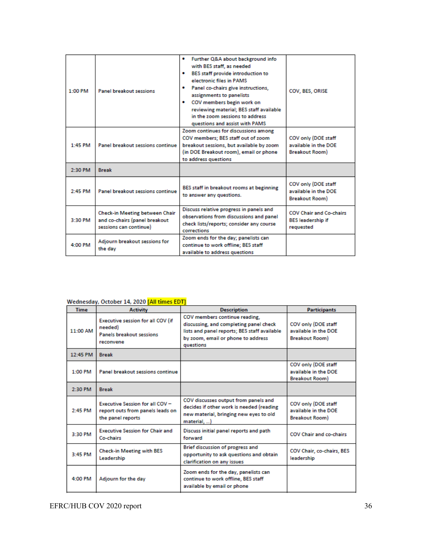| $1:00$ PM | <b>Panel breakout sessions</b>                                                                   | Further Q&A about background info<br>٠<br>with BES staff, as needed<br>BES staff provide introduction to<br>٠<br>electronic files in PAMS<br>Panel co-chairs give instructions,<br>٠<br>assignments to panelists<br>COV members begin work on<br>٠<br>reviewing material; BES staff available<br>in the zoom sessions to address<br>questions and assist with PAMS | COV, BES, ORISE                                                         |
|-----------|--------------------------------------------------------------------------------------------------|--------------------------------------------------------------------------------------------------------------------------------------------------------------------------------------------------------------------------------------------------------------------------------------------------------------------------------------------------------------------|-------------------------------------------------------------------------|
| $1:45$ PM | Panel breakout sessions continue                                                                 | Zoom continues for discussions among<br>COV members; BES staff out of zoom<br>breakout sessions, but available by zoom<br>(in DOE Breakout room), email or phone<br>to address questions                                                                                                                                                                           | COV only (DOE staff<br>available in the DOE<br><b>Breakout Room)</b>    |
| $2:30$ PM | <b>Break</b>                                                                                     |                                                                                                                                                                                                                                                                                                                                                                    |                                                                         |
| $2.45$ PM | Panel breakout sessions continue                                                                 | BES staff in breakout rooms at beginning<br>to answer any questions.                                                                                                                                                                                                                                                                                               | COV only (DOE staff<br>available in the DOE<br><b>Breakout Room)</b>    |
| 3:30 PM   | <b>Check-in Meeting between Chair</b><br>and co-chairs (panel breakout<br>sessions can continue) | Discuss relative progress in panels and<br>observations from discussions and panel<br>check lists/reports; consider any course<br>corrections                                                                                                                                                                                                                      | <b>COV Chair and Co-chairs</b><br><b>BES</b> leadership if<br>requested |
| 4:00 PM   | Adjourn breakout sessions for<br>the day                                                         | Zoom ends for the day; panelists can<br>continue to work offline; BES staff<br>available to address questions                                                                                                                                                                                                                                                      |                                                                         |

#### Wednesday, October 14, 2020 [All times EDT]

| <b>Time</b> | <b>Activity</b>                                                                              | <b>Description</b>                                                                                                                                                         | <b>Participants</b>                                                  |
|-------------|----------------------------------------------------------------------------------------------|----------------------------------------------------------------------------------------------------------------------------------------------------------------------------|----------------------------------------------------------------------|
| 11:00 AM    | Executive session for all COV (if<br>needed)<br><b>Panels breakout sessions</b><br>reconvene | COV members continue reading,<br>discussing, and completing panel check<br>lists and panel reports; BES staff available<br>by zoom, email or phone to address<br>questions | COV only (DOE staff<br>available in the DOE<br><b>Breakout Room)</b> |
| 12:45 PM    | <b>Break</b>                                                                                 |                                                                                                                                                                            |                                                                      |
| $1:00$ PM   | Panel breakout sessions continue                                                             |                                                                                                                                                                            | COV only (DOE staff<br>available in the DOE<br><b>Breakout Room)</b> |
| 2:30 PM     | <b>Break</b>                                                                                 |                                                                                                                                                                            |                                                                      |
| $2.45$ PM   | Executive Session for all COV-<br>report outs from panels leads on<br>the panel reports      | COV discusses output from panels and<br>decides if other work is needed (reading<br>new material, bringing new eyes to old<br>$material$ $)$                               | COV only (DOE staff<br>available in the DOE<br><b>Breakout Room)</b> |
| 3:30 PM     | <b>Executive Session for Chair and</b><br><b>Co-chairs</b>                                   | Discuss initial panel reports and path<br>forward                                                                                                                          | <b>COV Chair and co-chairs</b>                                       |
| 3:45 PM     | <b>Check-in Meeting with BES</b><br>Leadership                                               | Brief discussion of progress and<br>opportunity to ask questions and obtain<br>clarification on any issues                                                                 | COV Chair, co-chairs, BES<br>leadership                              |
| 4:00 PM     | Adjourn for the day                                                                          | Zoom ends for the day, panelists can<br>continue to work offline, BES staff<br>available by email or phone                                                                 |                                                                      |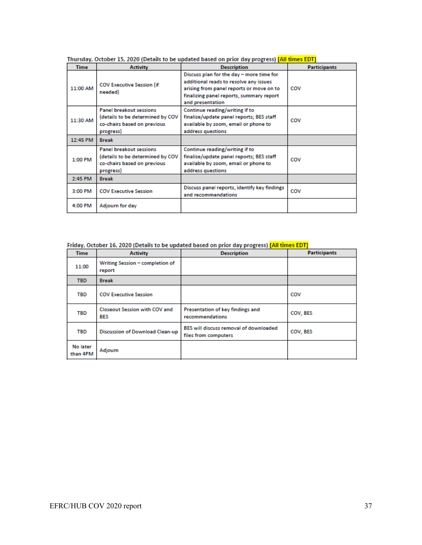| <b>Time</b> | <b>Activity</b>                                                                                                | <b>Description</b>                                                                                                                                                                             | <b>Participants</b> |
|-------------|----------------------------------------------------------------------------------------------------------------|------------------------------------------------------------------------------------------------------------------------------------------------------------------------------------------------|---------------------|
| 11:00 AM    | <b>COV Executive Session (if</b><br>needed)                                                                    | Discuss plan for the day - more time for<br>additional reads to resolve any issues<br>arising from panel reports or move on to<br>finalizing panel reports, summary report<br>and presentation | COV                 |
| 11:30 AM    | <b>Panel breakout sessions</b><br>(details to be determined by COV<br>co-chairs based on previous<br>progress) | Continue reading/writing if to<br>finalize/update panel reports; BES staff<br>available by zoom, email or phone to<br>address questions                                                        | COV                 |
| 12:45 PM    | <b>Break</b>                                                                                                   |                                                                                                                                                                                                |                     |
| 1:00 PM     | <b>Panel breakout sessions</b><br>(details to be determined by COV<br>co-chairs based on previous<br>progress) | Continue reading/writing if to<br>finalize/update panel reports; BES staff<br>available by zoom, email or phone to<br>address questions                                                        | COV                 |
| $2:45$ PM   | <b>Break</b>                                                                                                   |                                                                                                                                                                                                |                     |
| 3:00 PM     | <b>COV Executive Session</b>                                                                                   | Discuss panel reports, identify key findings<br>and recommendations                                                                                                                            | COV                 |
| 4:00 PM     | Adjourn for day                                                                                                |                                                                                                                                                                                                |                     |

Thursday, October 15, 2020 (Details to be updated based on prior day progress) [All times EDT]

#### Friday, October 16, 2020 (Details to be updated based on prior day progress) [All times EDT]

| Time                 | <b>Activity</b>                             | <b>Description</b>                                             | <b>Participants</b> |
|----------------------|---------------------------------------------|----------------------------------------------------------------|---------------------|
| 11:00                | Writing Session - completion of<br>report   |                                                                |                     |
| TBD.                 | <b>Break</b>                                |                                                                |                     |
| TBD                  | <b>COV Executive Session</b>                |                                                                | COV                 |
| TBD                  | <b>Closeout Session with COV and</b><br>BES | Presentation of key findings and<br>recommendations            | COV, BES            |
| TBD                  | <b>Discussion of Download Clean-up</b>      | BES will discuss removal of downloaded<br>files from computers | COV, BES            |
| No later<br>than 4PM | Adjourn                                     |                                                                |                     |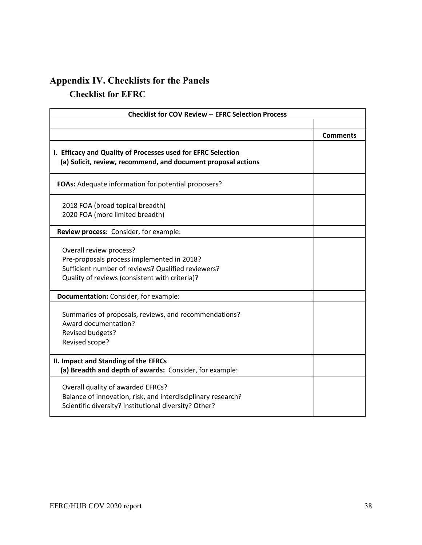# <span id="page-38-1"></span><span id="page-38-0"></span>**Appendix IV. Checklists for the Panels**

**Checklist for EFRC**

| <b>Checklist for COV Review -- EFRC Selection Process</b>                                                                                                                     |                 |  |  |
|-------------------------------------------------------------------------------------------------------------------------------------------------------------------------------|-----------------|--|--|
|                                                                                                                                                                               |                 |  |  |
|                                                                                                                                                                               | <b>Comments</b> |  |  |
| I. Efficacy and Quality of Processes used for EFRC Selection<br>(a) Solicit, review, recommend, and document proposal actions                                                 |                 |  |  |
| <b>FOAs:</b> Adequate information for potential proposers?                                                                                                                    |                 |  |  |
| 2018 FOA (broad topical breadth)<br>2020 FOA (more limited breadth)                                                                                                           |                 |  |  |
| Review process: Consider, for example:                                                                                                                                        |                 |  |  |
| Overall review process?<br>Pre-proposals process implemented in 2018?<br>Sufficient number of reviews? Qualified reviewers?<br>Quality of reviews (consistent with criteria)? |                 |  |  |
| Documentation: Consider, for example:                                                                                                                                         |                 |  |  |
| Summaries of proposals, reviews, and recommendations?<br>Award documentation?<br>Revised budgets?<br>Revised scope?                                                           |                 |  |  |
| II. Impact and Standing of the EFRCs<br>(a) Breadth and depth of awards: Consider, for example:                                                                               |                 |  |  |
| Overall quality of awarded EFRCs?<br>Balance of innovation, risk, and interdisciplinary research?<br>Scientific diversity? Institutional diversity? Other?                    |                 |  |  |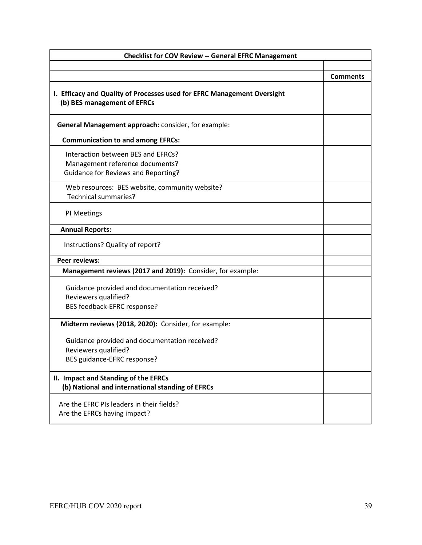| <b>Checklist for COV Review -- General EFRC Management</b>                                                          |                 |
|---------------------------------------------------------------------------------------------------------------------|-----------------|
|                                                                                                                     |                 |
|                                                                                                                     | <b>Comments</b> |
| I. Efficacy and Quality of Processes used for EFRC Management Oversight<br>(b) BES management of EFRCs              |                 |
| General Management approach: consider, for example:                                                                 |                 |
| <b>Communication to and among EFRCs:</b>                                                                            |                 |
| Interaction between BES and EFRCs?<br>Management reference documents?<br><b>Guidance for Reviews and Reporting?</b> |                 |
| Web resources: BES website, community website?<br><b>Technical summaries?</b>                                       |                 |
| PI Meetings                                                                                                         |                 |
| <b>Annual Reports:</b>                                                                                              |                 |
| Instructions? Quality of report?                                                                                    |                 |
| <b>Peer reviews:</b>                                                                                                |                 |
| Management reviews (2017 and 2019): Consider, for example:                                                          |                 |
| Guidance provided and documentation received?<br>Reviewers qualified?<br>BES feedback-EFRC response?                |                 |
| Midterm reviews (2018, 2020): Consider, for example:                                                                |                 |
| Guidance provided and documentation received?<br>Reviewers qualified?<br>BES guidance-EFRC response?                |                 |
| II. Impact and Standing of the EFRCs<br>(b) National and international standing of EFRCs                            |                 |
| Are the EFRC PIs leaders in their fields?<br>Are the EFRCs having impact?                                           |                 |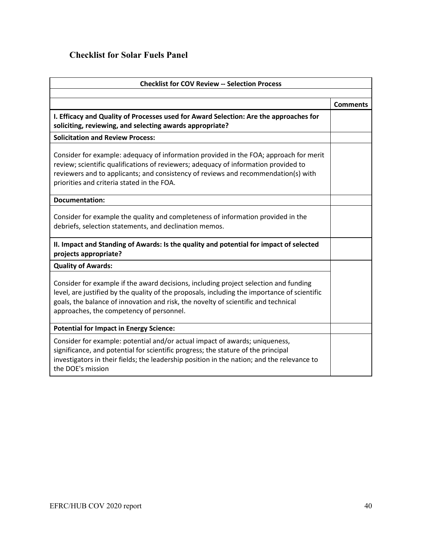## <span id="page-40-0"></span>**Checklist for Solar Fuels Panel**

| <b>Checklist for COV Review -- Selection Process</b>                                                                                                                                                                                                                                                                   |                 |
|------------------------------------------------------------------------------------------------------------------------------------------------------------------------------------------------------------------------------------------------------------------------------------------------------------------------|-----------------|
|                                                                                                                                                                                                                                                                                                                        |                 |
|                                                                                                                                                                                                                                                                                                                        | <b>Comments</b> |
| I. Efficacy and Quality of Processes used for Award Selection: Are the approaches for<br>soliciting, reviewing, and selecting awards appropriate?                                                                                                                                                                      |                 |
| <b>Solicitation and Review Process:</b>                                                                                                                                                                                                                                                                                |                 |
| Consider for example: adequacy of information provided in the FOA; approach for merit<br>review; scientific qualifications of reviewers; adequacy of information provided to<br>reviewers and to applicants; and consistency of reviews and recommendation(s) with<br>priorities and criteria stated in the FOA.       |                 |
| Documentation:                                                                                                                                                                                                                                                                                                         |                 |
| Consider for example the quality and completeness of information provided in the<br>debriefs, selection statements, and declination memos.                                                                                                                                                                             |                 |
| II. Impact and Standing of Awards: Is the quality and potential for impact of selected<br>projects appropriate?                                                                                                                                                                                                        |                 |
| <b>Quality of Awards:</b>                                                                                                                                                                                                                                                                                              |                 |
| Consider for example if the award decisions, including project selection and funding<br>level, are justified by the quality of the proposals, including the importance of scientific<br>goals, the balance of innovation and risk, the novelty of scientific and technical<br>approaches, the competency of personnel. |                 |
| <b>Potential for Impact in Energy Science:</b>                                                                                                                                                                                                                                                                         |                 |
| Consider for example: potential and/or actual impact of awards; uniqueness,<br>significance, and potential for scientific progress; the stature of the principal<br>investigators in their fields; the leadership position in the nation; and the relevance to<br>the DOE's mission                                    |                 |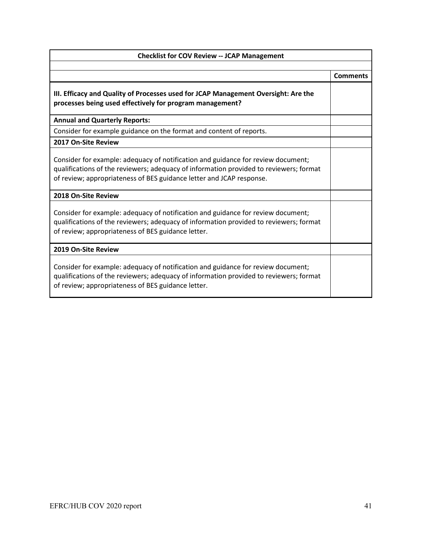| <b>Checklist for COV Review -- JCAP Management</b>                                                                                                                                                                                                 |                 |
|----------------------------------------------------------------------------------------------------------------------------------------------------------------------------------------------------------------------------------------------------|-----------------|
|                                                                                                                                                                                                                                                    |                 |
|                                                                                                                                                                                                                                                    | <b>Comments</b> |
| III. Efficacy and Quality of Processes used for JCAP Management Oversight: Are the<br>processes being used effectively for program management?                                                                                                     |                 |
| <b>Annual and Quarterly Reports:</b>                                                                                                                                                                                                               |                 |
| Consider for example guidance on the format and content of reports.                                                                                                                                                                                |                 |
| 2017 On-Site Review                                                                                                                                                                                                                                |                 |
| Consider for example: adequacy of notification and guidance for review document;<br>qualifications of the reviewers; adequacy of information provided to reviewers; format<br>of review; appropriateness of BES guidance letter and JCAP response. |                 |
| 2018 On-Site Review                                                                                                                                                                                                                                |                 |
| Consider for example: adequacy of notification and guidance for review document;<br>qualifications of the reviewers; adequacy of information provided to reviewers; format<br>of review; appropriateness of BES guidance letter.                   |                 |
| 2019 On-Site Review                                                                                                                                                                                                                                |                 |
| Consider for example: adequacy of notification and guidance for review document;<br>qualifications of the reviewers; adequacy of information provided to reviewers; format<br>of review; appropriateness of BES guidance letter.                   |                 |